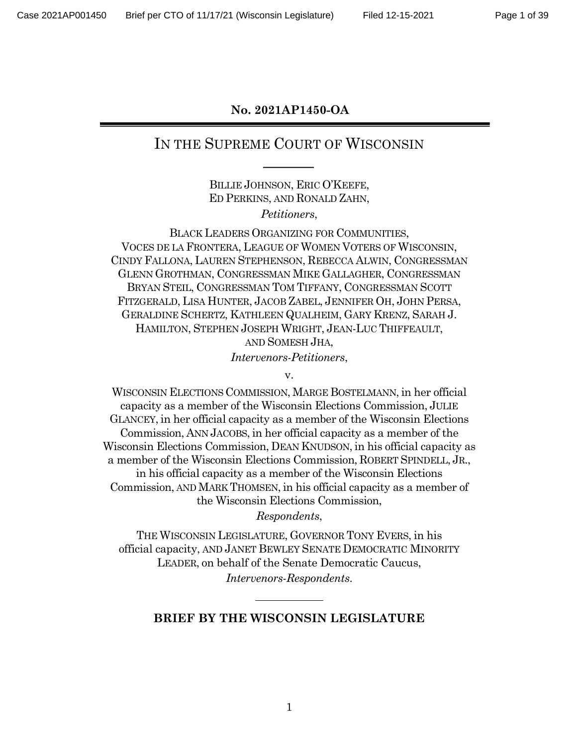#### **No. 2021AP1450-OA**

## IN THE SUPREME COURT OF WISCONSIN

BILLIE JOHNSON, ERIC O'KEEFE, ED PERKINS, AND RONALD ZAHN, *Petitioners*,

BLACK LEADERS ORGANIZING FOR COMMUNITIES, VOCES DE LA FRONTERA, LEAGUE OF WOMEN VOTERS OF WISCONSIN, CINDY FALLONA, LAUREN STEPHENSON, REBECCA ALWIN, CONGRESSMAN GLENN GROTHMAN, CONGRESSMAN MIKE GALLAGHER, CONGRESSMAN BRYAN STEIL, CONGRESSMAN TOM TIFFANY, CONGRESSMAN SCOTT FITZGERALD, LISA HUNTER, JACOB ZABEL, JENNIFER OH, JOHN PERSA, GERALDINE SCHERTZ, KATHLEEN QUALHEIM, GARY KRENZ, SARAH J. HAMILTON, STEPHEN JOSEPH WRIGHT, JEAN-LUC THIFFEAULT, AND SOMESH JHA, *Intervenors-Petitioners*,

v.

WISCONSIN ELECTIONS COMMISSION, MARGE BOSTELMANN, in her official capacity as a member of the Wisconsin Elections Commission, JULIE GLANCEY, in her official capacity as a member of the Wisconsin Elections Commission, ANN JACOBS, in her official capacity as a member of the Wisconsin Elections Commission, DEAN KNUDSON, in his official capacity as a member of the Wisconsin Elections Commission, ROBERT SPINDELL, JR., in his official capacity as a member of the Wisconsin Elections Commission, AND MARK THOMSEN, in his official capacity as a member of the Wisconsin Elections Commission,

*Respondents*,

THE WISCONSIN LEGISLATURE, GOVERNOR TONY EVERS, in his official capacity, AND JANET BEWLEY SENATE DEMOCRATIC MINORITY LEADER, on behalf of the Senate Democratic Caucus, *Intervenors-Respondents*.

#### **BRIEF BY THE WISCONSIN LEGISLATURE**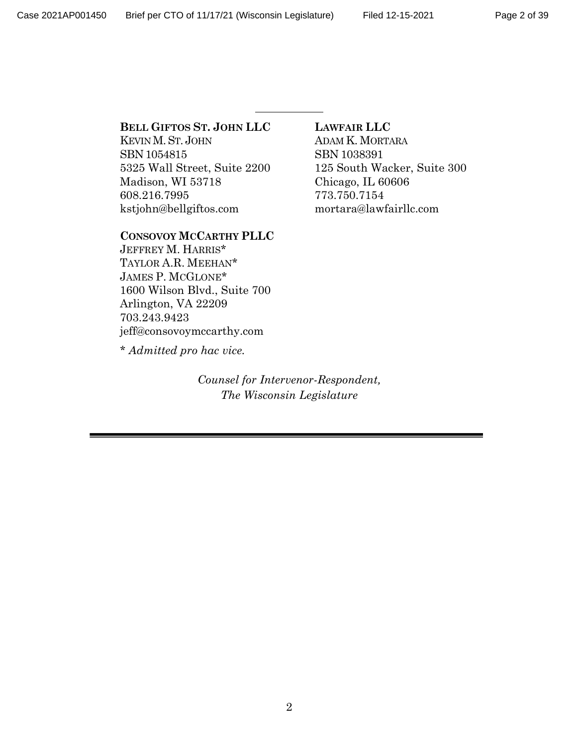#### **BELL GIFTOS ST. JOHN LLC**

KEVIN M.ST. JOHN SBN 1054815 5325 Wall Street, Suite 2200 Madison, WI 53718 608.216.7995 kstjohn@bellgiftos.com

#### **CONSOVOY MCCARTHY PLLC**

JEFFREY M. HARRIS\* TAYLOR A.R. MEEHAN\* JAMES P. MCGLONE\* 1600 Wilson Blvd., Suite 700 Arlington, VA 22209 703.243.9423 jeff@consovoymccarthy.com

\* *Admitted pro hac vice.*

*Counsel for Intervenor-Respondent, The Wisconsin Legislature*

#### **LAWFAIR LLC**

ADAM K. MORTARA SBN 1038391 125 South Wacker, Suite 300 Chicago, IL 60606 773.750.7154 mortara@lawfairllc.com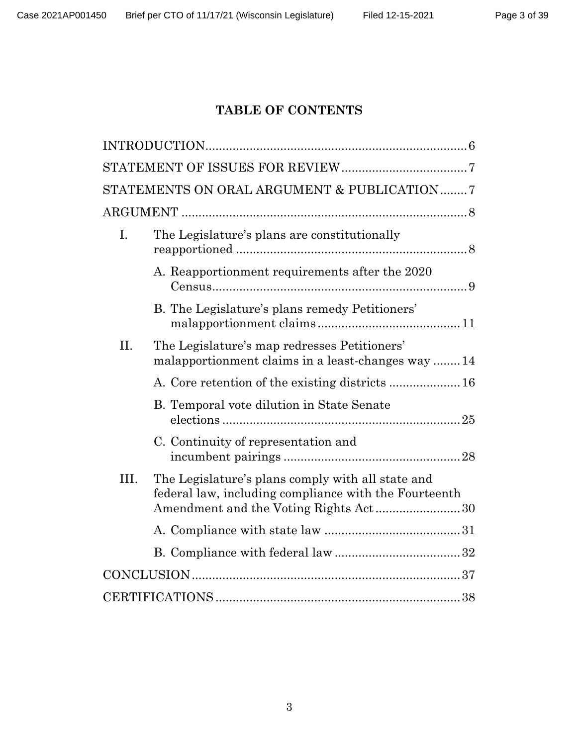### **TABLE OF CONTENTS**

|      | STATEMENTS ON ORAL ARGUMENT & PUBLICATION 7                                                                |
|------|------------------------------------------------------------------------------------------------------------|
|      |                                                                                                            |
| Ι.   | The Legislature's plans are constitutionally                                                               |
|      | A. Reapportionment requirements after the 2020                                                             |
|      | B. The Legislature's plans remedy Petitioners'                                                             |
| II.  | The Legislature's map redresses Petitioners'<br>malapportionment claims in a least-changes way 14          |
|      |                                                                                                            |
|      | B. Temporal vote dilution in State Senate                                                                  |
|      | C. Continuity of representation and                                                                        |
| III. | The Legislature's plans comply with all state and<br>federal law, including compliance with the Fourteenth |
|      |                                                                                                            |
|      |                                                                                                            |
|      |                                                                                                            |
|      |                                                                                                            |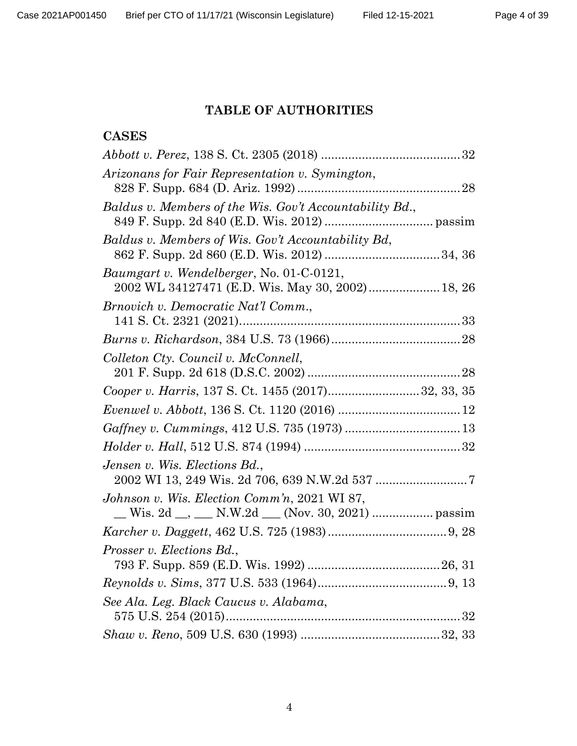### **TABLE OF AUTHORITIES**

### **CASES**

| Arizonans for Fair Representation v. Symington,                                                     |  |
|-----------------------------------------------------------------------------------------------------|--|
| Baldus v. Members of the Wis. Gov't Accountability Bd.,                                             |  |
| Baldus v. Members of Wis. Gov't Accountability Bd,                                                  |  |
| <i>Baumgart v. Wendelberger, No. 01-C-0121,</i><br>2002 WL 34127471 (E.D. Wis. May 30, 2002) 18, 26 |  |
| Brnovich v. Democratic Nat'l Comm.,                                                                 |  |
|                                                                                                     |  |
| Colleton Cty. Council v. McConnell,                                                                 |  |
| Cooper v. Harris, 137 S. Ct. 1455 (2017)32, 33, 35                                                  |  |
|                                                                                                     |  |
|                                                                                                     |  |
|                                                                                                     |  |
| Jensen v. Wis. Elections Bd.,                                                                       |  |
| Johnson v. Wis. Election Comm'n, 2021 WI 87,                                                        |  |
|                                                                                                     |  |
|                                                                                                     |  |
| Prosser v. Elections Bd.,                                                                           |  |
|                                                                                                     |  |
|                                                                                                     |  |
| See Ala. Leg. Black Caucus v. Alabama,                                                              |  |
|                                                                                                     |  |
|                                                                                                     |  |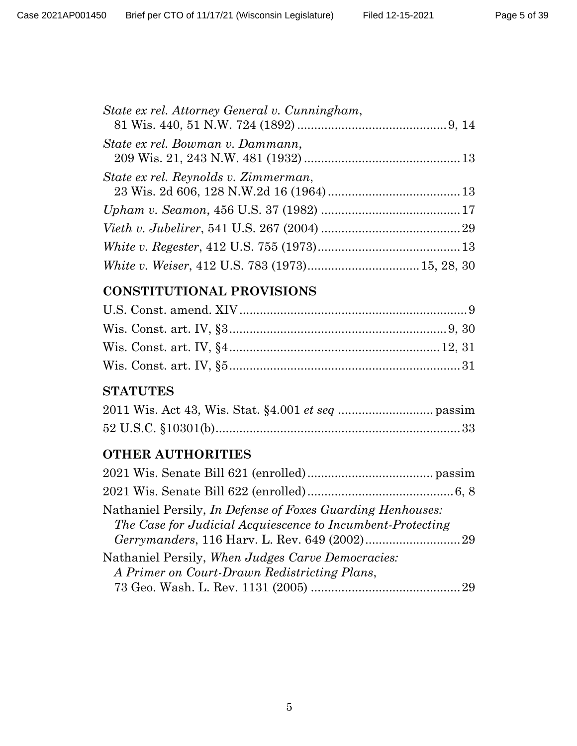| State ex rel. Attorney General v. Cunningham, |  |
|-----------------------------------------------|--|
| State ex rel. Bowman v. Dammann,              |  |
| State ex rel. Reynolds v. Zimmerman,          |  |
|                                               |  |
|                                               |  |
|                                               |  |
|                                               |  |

## **CONSTITUTIONAL PROVISIONS**

### **STATUTES**

# **OTHER AUTHORITIES**

| Nathaniel Persily, In Defense of Foxes Guarding Henhouses:<br>The Case for Judicial Acquiescence to Incumbent-Protecting |  |
|--------------------------------------------------------------------------------------------------------------------------|--|
| Nathaniel Persily, When Judges Carve Democracies:<br>A Primer on Court-Drawn Redistricting Plans,                        |  |
|                                                                                                                          |  |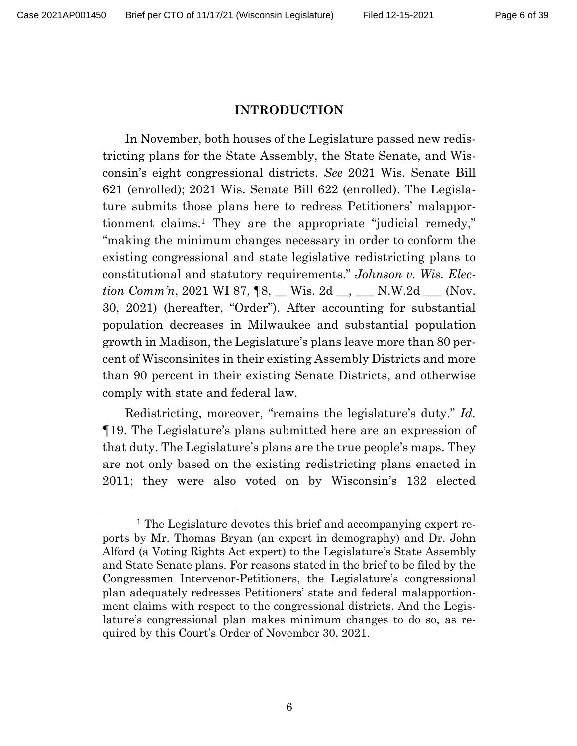#### **INTRODUCTION**

In November, both houses of the Legislature passed new redistricting plans for the State Assembly, the State Senate, and Wisconsin's eight congressional districts. *See* 2021 Wis. Senate Bill 621 (enrolled); 2021 Wis. Senate Bill 622 (enrolled). The Legislature submits those plans here to redress Petitioners' malapportionment claims.1 They are the appropriate "judicial remedy," "making the minimum changes necessary in order to conform the existing congressional and state legislative redistricting plans to constitutional and statutory requirements." *Johnson v. Wis. Election Comm'n*, 2021 WI 87,  $\llbracket 8, \underline{\hspace{1cm}}$  Wis. 2d  $\underline{\hspace{1cm}}$ , N.W.2d  $\underline{\hspace{1cm}}$  (Nov. 30, 2021) (hereafter, "Order"). After accounting for substantial population decreases in Milwaukee and substantial population growth in Madison, the Legislature's plans leave more than 80 percent of Wisconsinites in their existing Assembly Districts and more than 90 percent in their existing Senate Districts, and otherwise comply with state and federal law.

Redistricting, moreover, "remains the legislature's duty." *Id.*  ¶19. The Legislature's plans submitted here are an expression of that duty. The Legislature's plans are the true people's maps. They are not only based on the existing redistricting plans enacted in 2011; they were also voted on by Wisconsin's 132 elected

<sup>1</sup> The Legislature devotes this brief and accompanying expert reports by Mr. Thomas Bryan (an expert in demography) and Dr. John Alford (a Voting Rights Act expert) to the Legislature's State Assembly and State Senate plans. For reasons stated in the brief to be filed by the Congressmen Intervenor-Petitioners, the Legislature's congressional plan adequately redresses Petitioners' state and federal malapportionment claims with respect to the congressional districts. And the Legislature's congressional plan makes minimum changes to do so, as required by this Court's Order of November 30, 2021.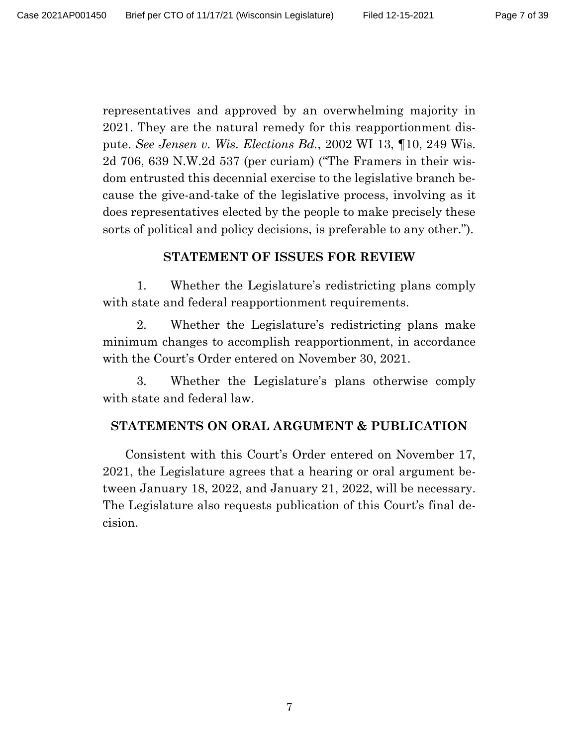representatives and approved by an overwhelming majority in 2021. They are the natural remedy for this reapportionment dispute. *See Jensen v. Wis. Elections Bd.*, 2002 WI 13, ¶10, 249 Wis. 2d 706, 639 N.W.2d 537 (per curiam) ("The Framers in their wisdom entrusted this decennial exercise to the legislative branch because the give-and-take of the legislative process, involving as it does representatives elected by the people to make precisely these sorts of political and policy decisions, is preferable to any other.").

#### **STATEMENT OF ISSUES FOR REVIEW**

1. Whether the Legislature's redistricting plans comply with state and federal reapportionment requirements.

2. Whether the Legislature's redistricting plans make minimum changes to accomplish reapportionment, in accordance with the Court's Order entered on November 30, 2021.

3. Whether the Legislature's plans otherwise comply with state and federal law.

#### **STATEMENTS ON ORAL ARGUMENT & PUBLICATION**

Consistent with this Court's Order entered on November 17, 2021, the Legislature agrees that a hearing or oral argument between January 18, 2022, and January 21, 2022, will be necessary. The Legislature also requests publication of this Court's final decision.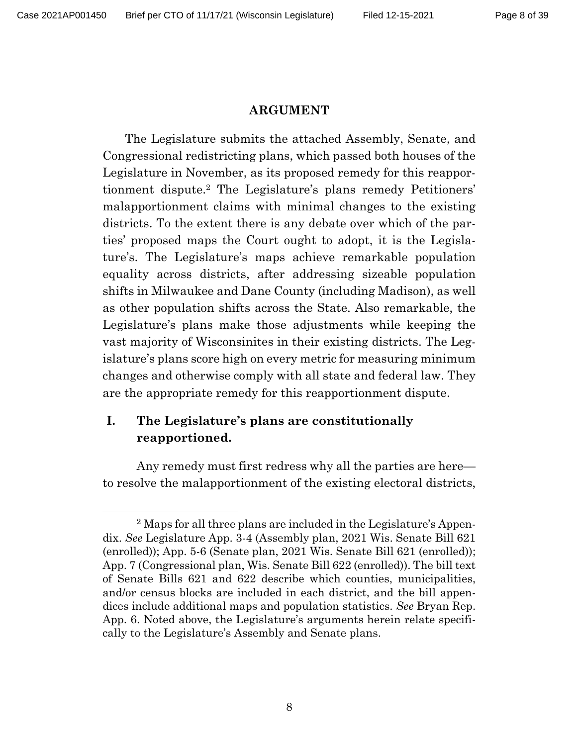#### **ARGUMENT**

The Legislature submits the attached Assembly, Senate, and Congressional redistricting plans, which passed both houses of the Legislature in November, as its proposed remedy for this reapportionment dispute.2 The Legislature's plans remedy Petitioners' malapportionment claims with minimal changes to the existing districts. To the extent there is any debate over which of the parties' proposed maps the Court ought to adopt, it is the Legislature's. The Legislature's maps achieve remarkable population equality across districts, after addressing sizeable population shifts in Milwaukee and Dane County (including Madison), as well as other population shifts across the State. Also remarkable, the Legislature's plans make those adjustments while keeping the vast majority of Wisconsinites in their existing districts. The Legislature's plans score high on every metric for measuring minimum changes and otherwise comply with all state and federal law. They are the appropriate remedy for this reapportionment dispute.

### **I. The Legislature's plans are constitutionally reapportioned.**

Any remedy must first redress why all the parties are here to resolve the malapportionment of the existing electoral districts,

<sup>2</sup> Maps for all three plans are included in the Legislature's Appendix. *See* Legislature App. 3-4 (Assembly plan, 2021 Wis. Senate Bill 621 (enrolled)); App. 5-6 (Senate plan, 2021 Wis. Senate Bill 621 (enrolled)); App. 7 (Congressional plan, Wis. Senate Bill 622 (enrolled)). The bill text of Senate Bills 621 and 622 describe which counties, municipalities, and/or census blocks are included in each district, and the bill appendices include additional maps and population statistics. *See* Bryan Rep. App. 6. Noted above, the Legislature's arguments herein relate specifically to the Legislature's Assembly and Senate plans.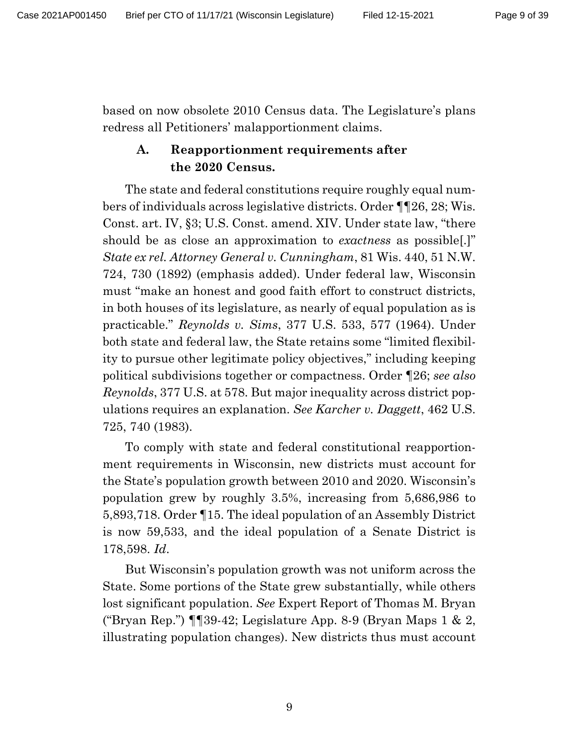based on now obsolete 2010 Census data. The Legislature's plans redress all Petitioners' malapportionment claims.

### **A. Reapportionment requirements after the 2020 Census.**

The state and federal constitutions require roughly equal numbers of individuals across legislative districts. Order ¶¶26, 28; Wis. Const. art. IV, §3; U.S. Const. amend. XIV. Under state law, "there should be as close an approximation to *exactness* as possible[.]" *State ex rel. Attorney General v. Cunningham*, 81 Wis. 440, 51 N.W. 724, 730 (1892) (emphasis added). Under federal law, Wisconsin must "make an honest and good faith effort to construct districts, in both houses of its legislature, as nearly of equal population as is practicable." *Reynolds v. Sims*, 377 U.S. 533, 577 (1964). Under both state and federal law, the State retains some "limited flexibility to pursue other legitimate policy objectives," including keeping political subdivisions together or compactness. Order ¶26; *see also Reynolds*, 377 U.S. at 578. But major inequality across district populations requires an explanation. *See Karcher v. Daggett*, 462 U.S. 725, 740 (1983).

To comply with state and federal constitutional reapportionment requirements in Wisconsin, new districts must account for the State's population growth between 2010 and 2020. Wisconsin's population grew by roughly 3.5%, increasing from 5,686,986 to 5,893,718. Order ¶15. The ideal population of an Assembly District is now 59,533, and the ideal population of a Senate District is 178,598. *Id*.

But Wisconsin's population growth was not uniform across the State. Some portions of the State grew substantially, while others lost significant population. *See* Expert Report of Thomas M. Bryan ("Bryan Rep.")  $\P$  [39-42; Legislature App. 8-9 (Bryan Maps 1 & 2, illustrating population changes). New districts thus must account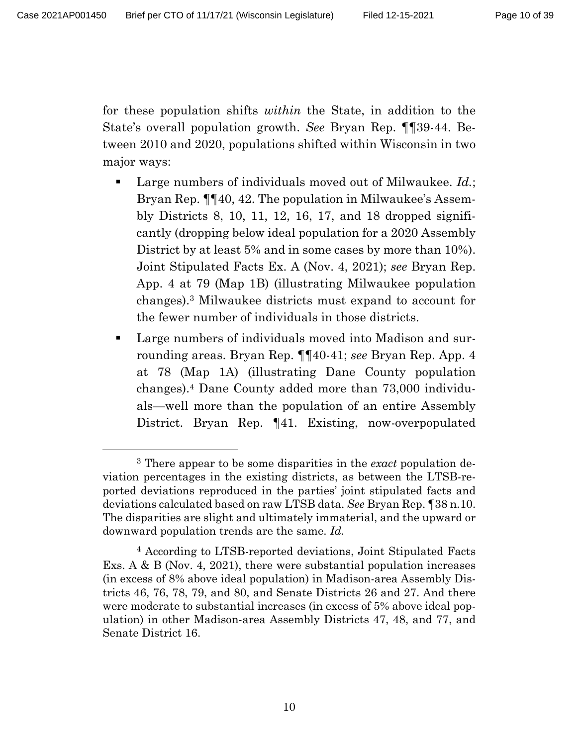for these population shifts *within* the State, in addition to the State's overall population growth. *See* Bryan Rep. ¶¶39-44. Between 2010 and 2020, populations shifted within Wisconsin in two major ways:

- Large numbers of individuals moved out of Milwaukee. *Id.*; Bryan Rep. ¶¶40, 42. The population in Milwaukee's Assembly Districts 8, 10, 11, 12, 16, 17, and 18 dropped significantly (dropping below ideal population for a 2020 Assembly District by at least 5% and in some cases by more than 10%). Joint Stipulated Facts Ex. A (Nov. 4, 2021); *see* Bryan Rep. App. 4 at 79 (Map 1B) (illustrating Milwaukee population changes).3 Milwaukee districts must expand to account for the fewer number of individuals in those districts.
- Large numbers of individuals moved into Madison and surrounding areas. Bryan Rep. ¶¶40-41; *see* Bryan Rep. App. 4 at 78 (Map 1A) (illustrating Dane County population changes).4 Dane County added more than 73,000 individuals—well more than the population of an entire Assembly District. Bryan Rep. ¶41. Existing, now-overpopulated

<sup>3</sup> There appear to be some disparities in the *exact* population deviation percentages in the existing districts, as between the LTSB-reported deviations reproduced in the parties' joint stipulated facts and deviations calculated based on raw LTSB data. *See* Bryan Rep. ¶38 n.10. The disparities are slight and ultimately immaterial, and the upward or downward population trends are the same. *Id.* 

<sup>4</sup> According to LTSB-reported deviations, Joint Stipulated Facts Exs. A & B (Nov. 4, 2021), there were substantial population increases (in excess of 8% above ideal population) in Madison-area Assembly Districts 46, 76, 78, 79, and 80, and Senate Districts 26 and 27. And there were moderate to substantial increases (in excess of 5% above ideal population) in other Madison-area Assembly Districts 47, 48, and 77, and Senate District 16.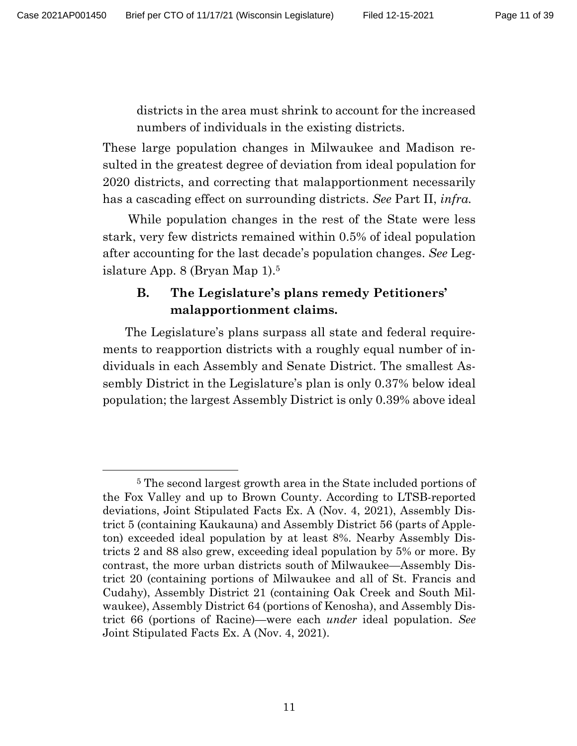districts in the area must shrink to account for the increased numbers of individuals in the existing districts.

These large population changes in Milwaukee and Madison resulted in the greatest degree of deviation from ideal population for 2020 districts, and correcting that malapportionment necessarily has a cascading effect on surrounding districts. *See* Part II, *infra.*

While population changes in the rest of the State were less stark, very few districts remained within 0.5% of ideal population after accounting for the last decade's population changes. *See* Legislature App. 8 (Bryan Map 1). 5

### **B. The Legislature's plans remedy Petitioners' malapportionment claims.**

The Legislature's plans surpass all state and federal requirements to reapportion districts with a roughly equal number of individuals in each Assembly and Senate District. The smallest Assembly District in the Legislature's plan is only 0.37% below ideal population; the largest Assembly District is only 0.39% above ideal

<sup>5</sup> The second largest growth area in the State included portions of the Fox Valley and up to Brown County. According to LTSB-reported deviations, Joint Stipulated Facts Ex. A (Nov. 4, 2021), Assembly District 5 (containing Kaukauna) and Assembly District 56 (parts of Appleton) exceeded ideal population by at least 8%. Nearby Assembly Districts 2 and 88 also grew, exceeding ideal population by 5% or more. By contrast, the more urban districts south of Milwaukee—Assembly District 20 (containing portions of Milwaukee and all of St. Francis and Cudahy), Assembly District 21 (containing Oak Creek and South Milwaukee), Assembly District 64 (portions of Kenosha), and Assembly District 66 (portions of Racine)—were each *under* ideal population. *See* Joint Stipulated Facts Ex. A (Nov. 4, 2021).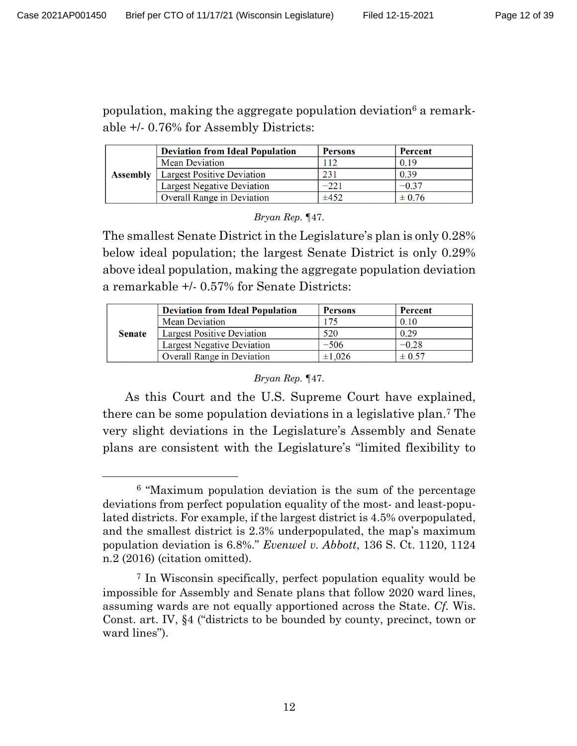population, making the aggregate population deviation6 a remarkable +/- 0.76% for Assembly Districts:

|                 | <b>Deviation from Ideal Population</b> | <b>Persons</b> | Percent    |
|-----------------|----------------------------------------|----------------|------------|
|                 | <b>Mean Deviation</b>                  | 112            | 0.19       |
| <b>Assembly</b> | <b>Largest Positive Deviation</b>      | 231            | 0.39       |
|                 | <b>Largest Negative Deviation</b>      | $-221$         | $-0.37$    |
|                 | Overall Range in Deviation             | $\pm 452$      | $\pm 0.76$ |

*Bryan Rep. ¶*47.

The smallest Senate District in the Legislature's plan is only 0.28% below ideal population; the largest Senate District is only 0.29% above ideal population, making the aggregate population deviation a remarkable +/- 0.57% for Senate Districts:

|               | <b>Deviation from Ideal Population</b> | <b>Persons</b> | Percent    |
|---------------|----------------------------------------|----------------|------------|
|               | Mean Deviation                         | 175            | 0.10       |
| <b>Senate</b> | <b>Largest Positive Deviation</b>      | 520            | 0.29       |
|               | <b>Largest Negative Deviation</b>      | $-506$         | $-0.28$    |
|               | Overall Range in Deviation             | $\pm 1.026$    | $\pm 0.57$ |

#### *Bryan Rep. ¶*47.

As this Court and the U.S. Supreme Court have explained, there can be some population deviations in a legislative plan.7 The very slight deviations in the Legislature's Assembly and Senate plans are consistent with the Legislature's "limited flexibility to

<sup>6</sup> "Maximum population deviation is the sum of the percentage deviations from perfect population equality of the most- and least-populated districts. For example, if the largest district is 4.5% overpopulated, and the smallest district is 2.3% underpopulated, the map's maximum population deviation is 6.8%." *Evenwel v. Abbott*, 136 S. Ct. 1120, 1124 n.2 (2016) (citation omitted).

<sup>7</sup> In Wisconsin specifically, perfect population equality would be impossible for Assembly and Senate plans that follow 2020 ward lines, assuming wards are not equally apportioned across the State. *Cf.* Wis. Const. art. IV, §4 ("districts to be bounded by county, precinct, town or ward lines").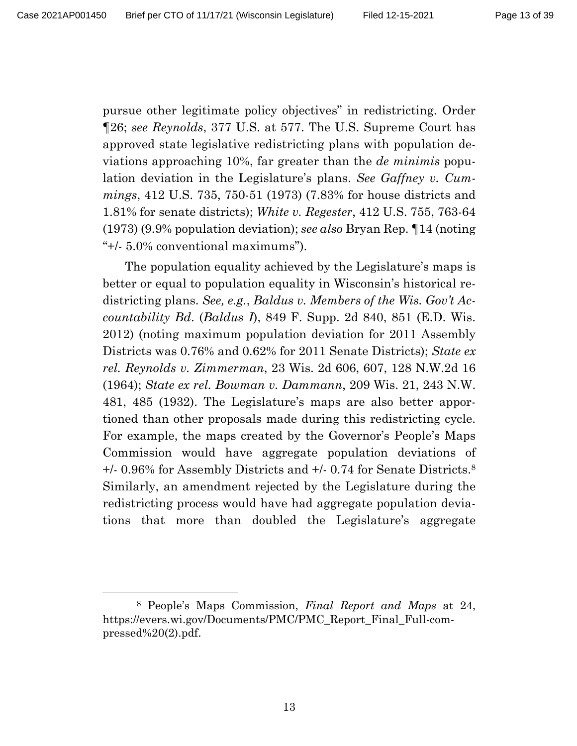pursue other legitimate policy objectives" in redistricting. Order ¶26; *see Reynolds*, 377 U.S. at 577. The U.S. Supreme Court has approved state legislative redistricting plans with population deviations approaching 10%, far greater than the *de minimis* population deviation in the Legislature's plans. *See Gaffney v. Cummings*, 412 U.S. 735, 750-51 (1973) (7.83% for house districts and 1.81% for senate districts); *White v. Regester*, 412 U.S. 755, 763-64 (1973) (9.9% population deviation); *see also* Bryan Rep. ¶14 (noting "+/- 5.0% conventional maximums").

The population equality achieved by the Legislature's maps is better or equal to population equality in Wisconsin's historical redistricting plans. *See, e.g.*, *Baldus v. Members of the Wis. Gov't Accountability Bd*. (*Baldus I*), 849 F. Supp. 2d 840, 851 (E.D. Wis. 2012) (noting maximum population deviation for 2011 Assembly Districts was 0.76% and 0.62% for 2011 Senate Districts); *State ex rel. Reynolds v. Zimmerman*, 23 Wis. 2d 606, 607, 128 N.W.2d 16 (1964); *State ex rel. Bowman v. Dammann*, 209 Wis. 21, 243 N.W. 481, 485 (1932). The Legislature's maps are also better apportioned than other proposals made during this redistricting cycle. For example, the maps created by the Governor's People's Maps Commission would have aggregate population deviations of +/- 0.96% for Assembly Districts and +/- 0.74 for Senate Districts.8 Similarly, an amendment rejected by the Legislature during the redistricting process would have had aggregate population deviations that more than doubled the Legislature's aggregate

<sup>8</sup> People's Maps Commission, *Final Report and Maps* at 24, https://evers.wi.gov/Documents/PMC/PMC\_Report\_Final\_Full-compressed%20(2).pdf.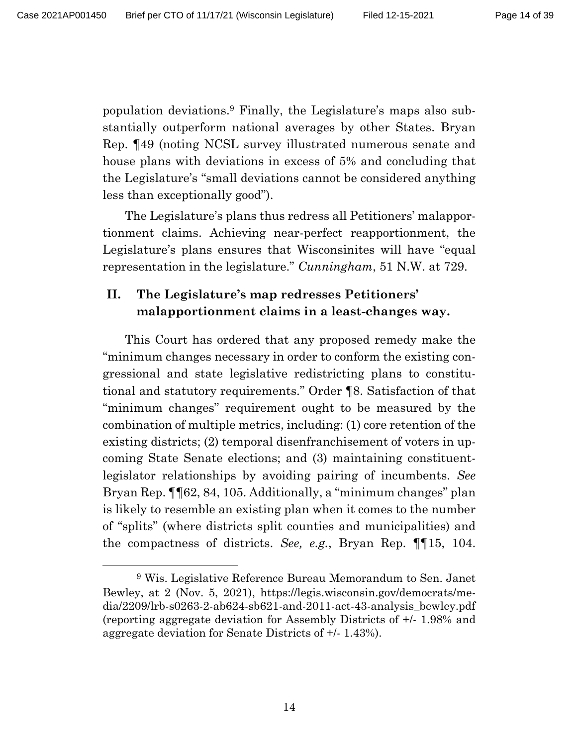population deviations.9 Finally, the Legislature's maps also substantially outperform national averages by other States. Bryan Rep. ¶49 (noting NCSL survey illustrated numerous senate and house plans with deviations in excess of 5% and concluding that the Legislature's "small deviations cannot be considered anything less than exceptionally good").

The Legislature's plans thus redress all Petitioners' malapportionment claims. Achieving near-perfect reapportionment, the Legislature's plans ensures that Wisconsinites will have "equal representation in the legislature." *Cunningham*, 51 N.W. at 729.

### **II. The Legislature's map redresses Petitioners' malapportionment claims in a least-changes way.**

This Court has ordered that any proposed remedy make the "minimum changes necessary in order to conform the existing congressional and state legislative redistricting plans to constitutional and statutory requirements." Order ¶8. Satisfaction of that "minimum changes" requirement ought to be measured by the combination of multiple metrics, including: (1) core retention of the existing districts; (2) temporal disenfranchisement of voters in upcoming State Senate elections; and (3) maintaining constituentlegislator relationships by avoiding pairing of incumbents. *See*  Bryan Rep. ¶¶62, 84, 105. Additionally, a "minimum changes" plan is likely to resemble an existing plan when it comes to the number of "splits" (where districts split counties and municipalities) and the compactness of districts. *See, e.g.*, Bryan Rep. ¶¶15, 104.

<sup>9</sup> Wis. Legislative Reference Bureau Memorandum to Sen. Janet Bewley, at 2 (Nov. 5, 2021), https://legis.wisconsin.gov/democrats/media/2209/lrb-s0263-2-ab624-sb621-and-2011-act-43-analysis\_bewley.pdf (reporting aggregate deviation for Assembly Districts of +/- 1.98% and aggregate deviation for Senate Districts of +/- 1.43%).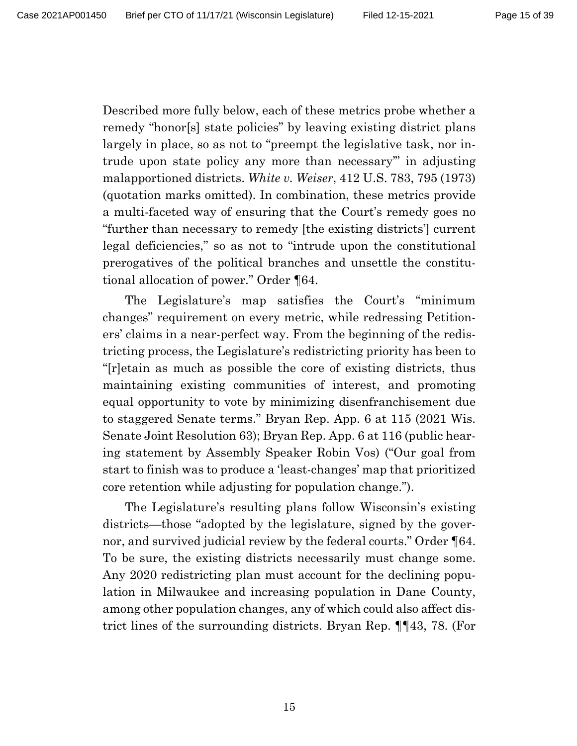Described more fully below, each of these metrics probe whether a remedy "honor[s] state policies" by leaving existing district plans largely in place, so as not to "preempt the legislative task, nor intrude upon state policy any more than necessary'" in adjusting malapportioned districts. *White v. Weiser*, 412 U.S. 783, 795 (1973) (quotation marks omitted). In combination, these metrics provide a multi-faceted way of ensuring that the Court's remedy goes no "further than necessary to remedy [the existing districts'] current legal deficiencies," so as not to "intrude upon the constitutional prerogatives of the political branches and unsettle the constitutional allocation of power." Order ¶64.

The Legislature's map satisfies the Court's "minimum changes" requirement on every metric, while redressing Petitioners' claims in a near-perfect way. From the beginning of the redistricting process, the Legislature's redistricting priority has been to "[r]etain as much as possible the core of existing districts, thus maintaining existing communities of interest, and promoting equal opportunity to vote by minimizing disenfranchisement due to staggered Senate terms." Bryan Rep. App. 6 at 115 (2021 Wis. Senate Joint Resolution 63); Bryan Rep. App. 6 at 116 (public hearing statement by Assembly Speaker Robin Vos) ("Our goal from start to finish was to produce a 'least-changes' map that prioritized core retention while adjusting for population change.").

The Legislature's resulting plans follow Wisconsin's existing districts—those "adopted by the legislature, signed by the governor, and survived judicial review by the federal courts." Order ¶64. To be sure, the existing districts necessarily must change some. Any 2020 redistricting plan must account for the declining population in Milwaukee and increasing population in Dane County, among other population changes, any of which could also affect district lines of the surrounding districts. Bryan Rep. ¶¶43, 78. (For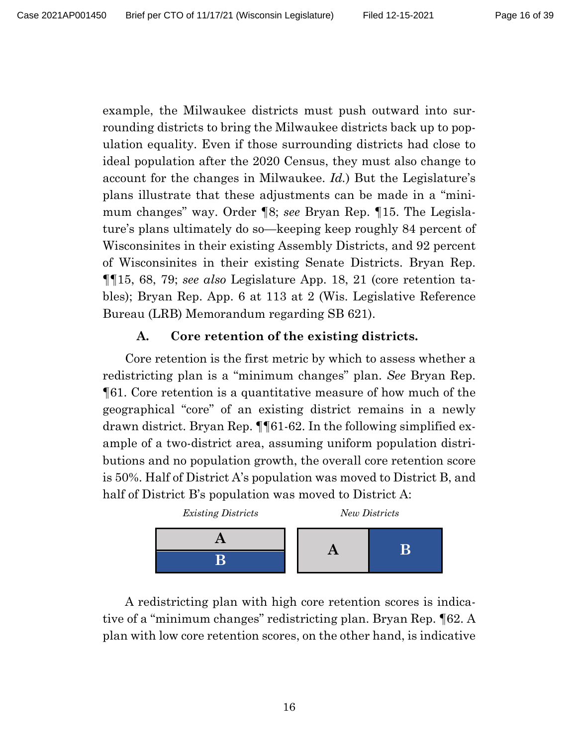example, the Milwaukee districts must push outward into surrounding districts to bring the Milwaukee districts back up to population equality. Even if those surrounding districts had close to ideal population after the 2020 Census, they must also change to account for the changes in Milwaukee. *Id.*) But the Legislature's plans illustrate that these adjustments can be made in a "minimum changes" way. Order ¶8; *see* Bryan Rep. ¶15. The Legislature's plans ultimately do so—keeping keep roughly 84 percent of Wisconsinites in their existing Assembly Districts, and 92 percent of Wisconsinites in their existing Senate Districts. Bryan Rep. ¶¶15, 68, 79; *see also* Legislature App. 18, 21 (core retention tables); Bryan Rep. App. 6 at 113 at 2 (Wis. Legislative Reference Bureau (LRB) Memorandum regarding SB 621).

#### **A. Core retention of the existing districts.**

Core retention is the first metric by which to assess whether a redistricting plan is a "minimum changes" plan. *See* Bryan Rep. ¶61. Core retention is a quantitative measure of how much of the geographical "core" of an existing district remains in a newly drawn district. Bryan Rep. ¶¶61-62. In the following simplified example of a two-district area, assuming uniform population distributions and no population growth, the overall core retention score is 50%. Half of District A's population was moved to District B, and half of District B's population was moved to District A:



A redistricting plan with high core retention scores is indicative of a "minimum changes" redistricting plan. Bryan Rep. ¶62. A plan with low core retention scores, on the other hand, is indicative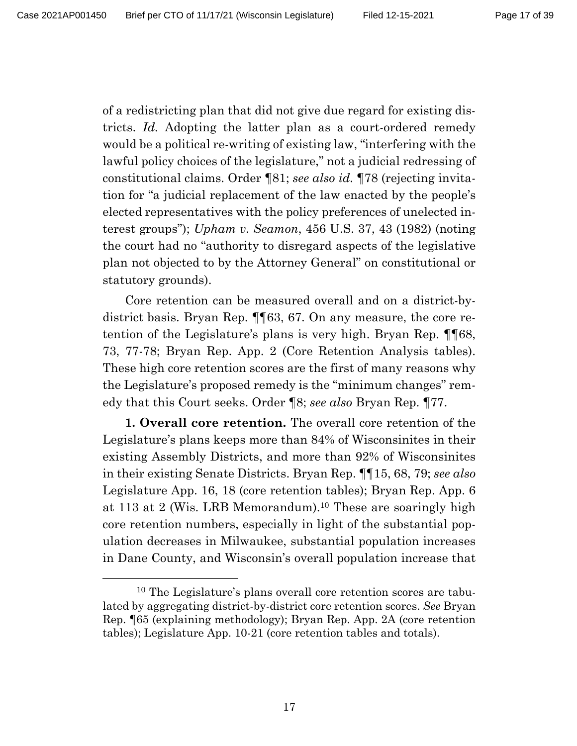of a redistricting plan that did not give due regard for existing districts. *Id.* Adopting the latter plan as a court-ordered remedy would be a political re-writing of existing law, "interfering with the lawful policy choices of the legislature," not a judicial redressing of constitutional claims. Order ¶81; *see also id.* ¶78 (rejecting invitation for "a judicial replacement of the law enacted by the people's elected representatives with the policy preferences of unelected interest groups"); *Upham v. Seamon*, 456 U.S. 37, 43 (1982) (noting the court had no "authority to disregard aspects of the legislative plan not objected to by the Attorney General" on constitutional or statutory grounds).

Core retention can be measured overall and on a district-bydistrict basis. Bryan Rep. ¶¶63, 67. On any measure, the core retention of the Legislature's plans is very high. Bryan Rep. ¶¶68, 73, 77-78; Bryan Rep. App. 2 (Core Retention Analysis tables). These high core retention scores are the first of many reasons why the Legislature's proposed remedy is the "minimum changes" remedy that this Court seeks. Order ¶8; *see also* Bryan Rep. ¶77.

**1. Overall core retention.** The overall core retention of the Legislature's plans keeps more than 84% of Wisconsinites in their existing Assembly Districts, and more than 92% of Wisconsinites in their existing Senate Districts. Bryan Rep. ¶¶15, 68, 79; *see also* Legislature App. 16, 18 (core retention tables); Bryan Rep. App. 6 at 113 at 2 (Wis. LRB Memorandum). <sup>10</sup> These are soaringly high core retention numbers, especially in light of the substantial population decreases in Milwaukee, substantial population increases in Dane County, and Wisconsin's overall population increase that

<sup>10</sup> The Legislature's plans overall core retention scores are tabulated by aggregating district-by-district core retention scores. *See* Bryan Rep. ¶65 (explaining methodology); Bryan Rep. App. 2A (core retention tables); Legislature App. 10-21 (core retention tables and totals).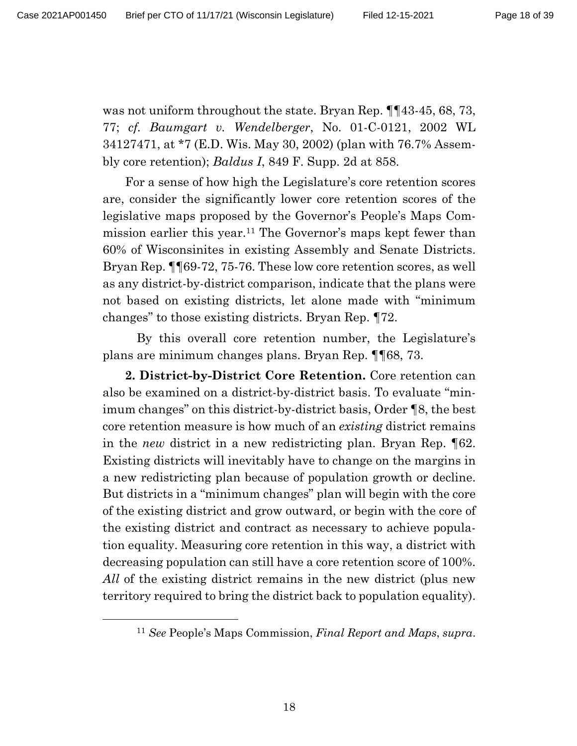was not uniform throughout the state. Bryan Rep.  $\P$  [43-45, 68, 73, 77; *cf. Baumgart v. Wendelberger*, No. 01-C-0121, 2002 WL 34127471, at \*7 (E.D. Wis. May 30, 2002) (plan with 76.7% Assembly core retention); *Baldus I*, 849 F. Supp. 2d at 858.

For a sense of how high the Legislature's core retention scores are, consider the significantly lower core retention scores of the legislative maps proposed by the Governor's People's Maps Commission earlier this year.11 The Governor's maps kept fewer than 60% of Wisconsinites in existing Assembly and Senate Districts. Bryan Rep. ¶¶69-72, 75-76. These low core retention scores, as well as any district-by-district comparison, indicate that the plans were not based on existing districts, let alone made with "minimum changes" to those existing districts. Bryan Rep. ¶72.

By this overall core retention number, the Legislature's plans are minimum changes plans. Bryan Rep. ¶¶68, 73.

**2. District-by-District Core Retention.** Core retention can also be examined on a district-by-district basis. To evaluate "minimum changes" on this district-by-district basis, Order ¶8, the best core retention measure is how much of an *existing* district remains in the *new* district in a new redistricting plan. Bryan Rep. ¶62. Existing districts will inevitably have to change on the margins in a new redistricting plan because of population growth or decline. But districts in a "minimum changes" plan will begin with the core of the existing district and grow outward, or begin with the core of the existing district and contract as necessary to achieve population equality. Measuring core retention in this way, a district with decreasing population can still have a core retention score of 100%. *All* of the existing district remains in the new district (plus new territory required to bring the district back to population equality).

<sup>11</sup> *See* People's Maps Commission, *Final Report and Maps*, *supra*.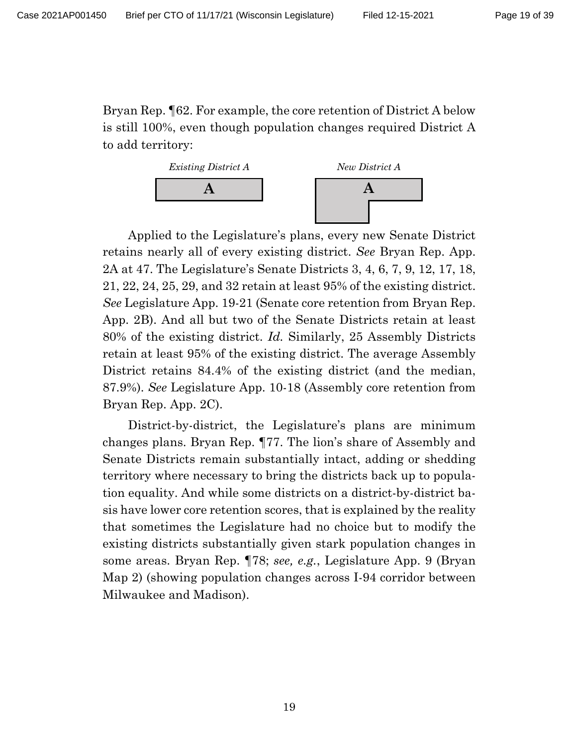Bryan Rep. ¶62. For example, the core retention of District A below is still 100%, even though population changes required District A to add territory:



Applied to the Legislature's plans, every new Senate District retains nearly all of every existing district. *See* Bryan Rep. App. 2A at 47. The Legislature's Senate Districts 3, 4, 6, 7, 9, 12, 17, 18, 21, 22, 24, 25, 29, and 32 retain at least 95% of the existing district. *See* Legislature App. 19-21 (Senate core retention from Bryan Rep. App. 2B). And all but two of the Senate Districts retain at least 80% of the existing district. *Id.* Similarly, 25 Assembly Districts retain at least 95% of the existing district. The average Assembly District retains 84.4% of the existing district (and the median, 87.9%). *See* Legislature App. 10-18 (Assembly core retention from Bryan Rep. App. 2C).

District-by-district, the Legislature's plans are minimum changes plans. Bryan Rep. ¶77. The lion's share of Assembly and Senate Districts remain substantially intact, adding or shedding territory where necessary to bring the districts back up to population equality. And while some districts on a district-by-district basis have lower core retention scores, that is explained by the reality that sometimes the Legislature had no choice but to modify the existing districts substantially given stark population changes in some areas. Bryan Rep. ¶78; *see, e.g.*, Legislature App. 9 (Bryan Map 2) (showing population changes across I-94 corridor between Milwaukee and Madison).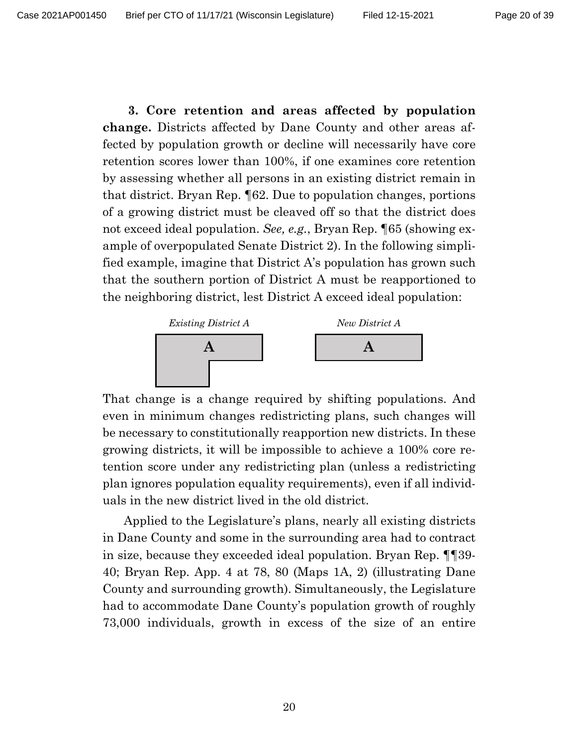**3. Core retention and areas affected by population change.** Districts affected by Dane County and other areas affected by population growth or decline will necessarily have core retention scores lower than 100%, if one examines core retention by assessing whether all persons in an existing district remain in that district. Bryan Rep. ¶62. Due to population changes, portions of a growing district must be cleaved off so that the district does not exceed ideal population. *See, e.g.*, Bryan Rep. ¶65 (showing example of overpopulated Senate District 2). In the following simplified example, imagine that District A's population has grown such that the southern portion of District A must be reapportioned to the neighboring district, lest District A exceed ideal population:



That change is a change required by shifting populations. And even in minimum changes redistricting plans, such changes will be necessary to constitutionally reapportion new districts. In these growing districts, it will be impossible to achieve a 100% core retention score under any redistricting plan (unless a redistricting plan ignores population equality requirements), even if all individuals in the new district lived in the old district.

Applied to the Legislature's plans, nearly all existing districts in Dane County and some in the surrounding area had to contract in size, because they exceeded ideal population. Bryan Rep. ¶¶39- 40; Bryan Rep. App. 4 at 78, 80 (Maps 1A, 2) (illustrating Dane County and surrounding growth). Simultaneously, the Legislature had to accommodate Dane County's population growth of roughly 73,000 individuals, growth in excess of the size of an entire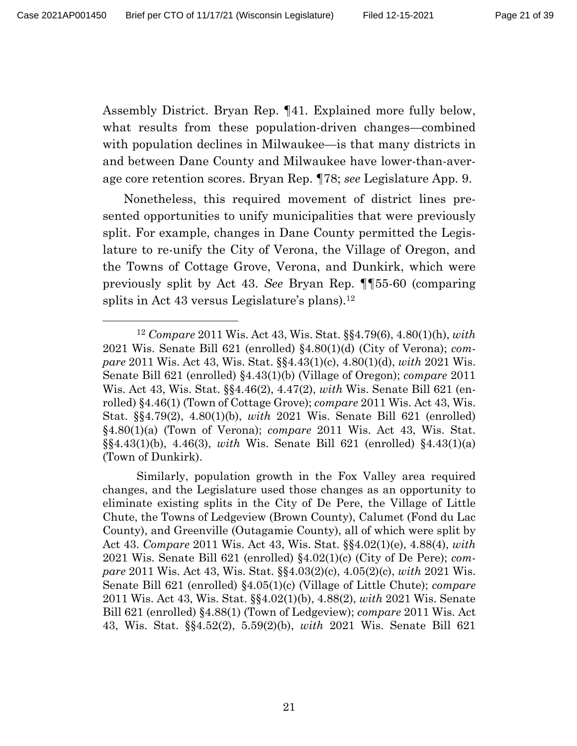Assembly District. Bryan Rep. ¶41. Explained more fully below, what results from these population-driven changes—combined with population declines in Milwaukee—is that many districts in and between Dane County and Milwaukee have lower-than-average core retention scores. Bryan Rep. ¶78; *see* Legislature App. 9.

Nonetheless, this required movement of district lines presented opportunities to unify municipalities that were previously split. For example, changes in Dane County permitted the Legislature to re-unify the City of Verona, the Village of Oregon, and the Towns of Cottage Grove, Verona, and Dunkirk, which were previously split by Act 43. *See* Bryan Rep. ¶¶55-60 (comparing splits in Act 43 versus Legislature's plans).<sup>12</sup>

<sup>12</sup> *Compare* 2011 Wis. Act 43, Wis. Stat. §§4.79(6), 4.80(1)(h), *with*  2021 Wis. Senate Bill 621 (enrolled) §4.80(1)(d) (City of Verona); *compare* 2011 Wis. Act 43, Wis. Stat. §§4.43(1)(c), 4.80(1)(d), *with* 2021 Wis. Senate Bill 621 (enrolled) §4.43(1)(b) (Village of Oregon); *compare* 2011 Wis. Act 43, Wis. Stat. §§4.46(2), 4.47(2), *with* Wis. Senate Bill 621 (enrolled) §4.46(1) (Town of Cottage Grove); *compare* 2011 Wis. Act 43, Wis. Stat. §§4.79(2), 4.80(1)(b), *with* 2021 Wis. Senate Bill 621 (enrolled) §4.80(1)(a) (Town of Verona); *compare* 2011 Wis. Act 43, Wis. Stat. §§4.43(1)(b), 4.46(3), *with* Wis. Senate Bill 621 (enrolled) §4.43(1)(a) (Town of Dunkirk).

Similarly, population growth in the Fox Valley area required changes, and the Legislature used those changes as an opportunity to eliminate existing splits in the City of De Pere, the Village of Little Chute, the Towns of Ledgeview (Brown County), Calumet (Fond du Lac County), and Greenville (Outagamie County), all of which were split by Act 43. *Compare* 2011 Wis. Act 43, Wis. Stat. §§4.02(1)(e), 4.88(4), *with*  2021 Wis. Senate Bill 621 (enrolled) §4.02(1)(c) (City of De Pere); *compare* 2011 Wis. Act 43, Wis. Stat. §§4.03(2)(c), 4.05(2)(c), *with* 2021 Wis. Senate Bill 621 (enrolled) §4.05(1)(c) (Village of Little Chute); *compare*  2011 Wis. Act 43, Wis. Stat. §§4.02(1)(b), 4.88(2), *with* 2021 Wis. Senate Bill 621 (enrolled) §4.88(1) (Town of Ledgeview); *compare* 2011 Wis. Act 43, Wis. Stat. §§4.52(2), 5.59(2)(b), *with* 2021 Wis. Senate Bill 621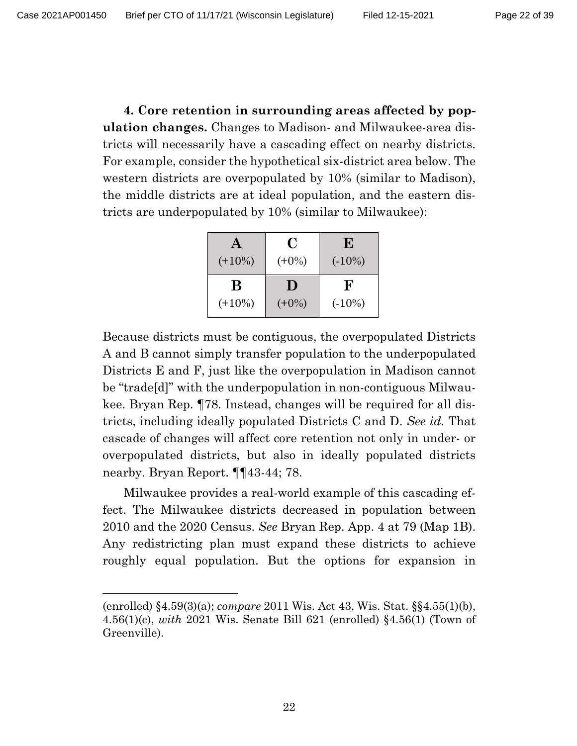**4. Core retention in surrounding areas affected by population changes.** Changes to Madison- and Milwaukee-area districts will necessarily have a cascading effect on nearby districts. For example, consider the hypothetical six-district area below. The western districts are overpopulated by 10% (similar to Madison), the middle districts are at ideal population, and the eastern districts are underpopulated by 10% (similar to Milwaukee):

| A         | C              | E            |
|-----------|----------------|--------------|
| $(+10\%)$ | $(+0\%)$       | $(.10\%)$    |
| B         | $\blacksquare$ | $\mathbf{F}$ |
| $(+10\%)$ | $(+0\%)$       | $(.10\%)$    |

Because districts must be contiguous, the overpopulated Districts A and B cannot simply transfer population to the underpopulated Districts E and F, just like the overpopulation in Madison cannot be "trade[d]" with the underpopulation in non-contiguous Milwaukee. Bryan Rep. ¶78. Instead, changes will be required for all districts, including ideally populated Districts C and D. *See id.* That cascade of changes will affect core retention not only in under- or overpopulated districts, but also in ideally populated districts nearby. Bryan Report. ¶¶43-44; 78.

Milwaukee provides a real-world example of this cascading effect. The Milwaukee districts decreased in population between 2010 and the 2020 Census. *See* Bryan Rep. App. 4 at 79 (Map 1B). Any redistricting plan must expand these districts to achieve roughly equal population. But the options for expansion in

<sup>(</sup>enrolled) §4.59(3)(a); *compare* 2011 Wis. Act 43, Wis. Stat. §§4.55(1)(b), 4.56(1)(c), *with* 2021 Wis. Senate Bill 621 (enrolled) §4.56(1) (Town of Greenville).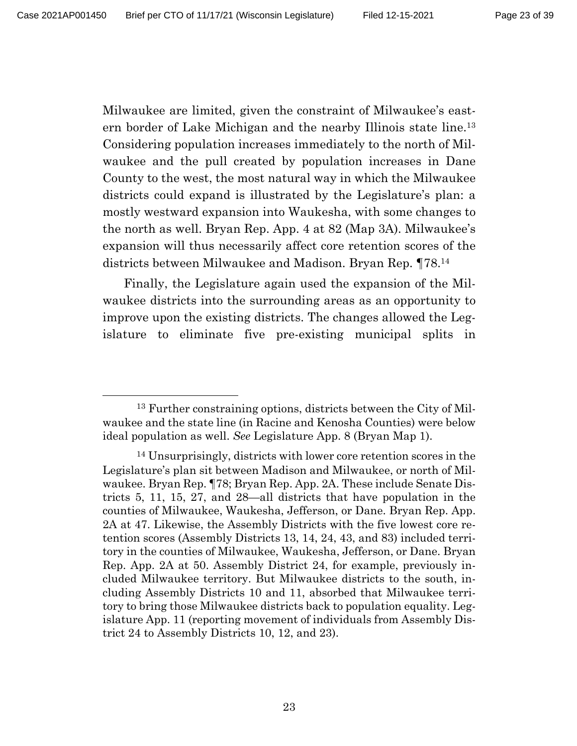Milwaukee are limited, given the constraint of Milwaukee's eastern border of Lake Michigan and the nearby Illinois state line.13 Considering population increases immediately to the north of Milwaukee and the pull created by population increases in Dane County to the west, the most natural way in which the Milwaukee districts could expand is illustrated by the Legislature's plan: a mostly westward expansion into Waukesha, with some changes to the north as well. Bryan Rep. App. 4 at 82 (Map 3A). Milwaukee's expansion will thus necessarily affect core retention scores of the districts between Milwaukee and Madison. Bryan Rep. ¶78. 14

Finally, the Legislature again used the expansion of the Milwaukee districts into the surrounding areas as an opportunity to improve upon the existing districts. The changes allowed the Legislature to eliminate five pre-existing municipal splits in

<sup>&</sup>lt;sup>13</sup> Further constraining options, districts between the City of Milwaukee and the state line (in Racine and Kenosha Counties) were below ideal population as well. *See* Legislature App. 8 (Bryan Map 1).

<sup>14</sup> Unsurprisingly, districts with lower core retention scores in the Legislature's plan sit between Madison and Milwaukee, or north of Milwaukee. Bryan Rep. ¶78; Bryan Rep. App. 2A. These include Senate Districts 5, 11, 15, 27, and 28—all districts that have population in the counties of Milwaukee, Waukesha, Jefferson, or Dane. Bryan Rep. App. 2A at 47. Likewise, the Assembly Districts with the five lowest core retention scores (Assembly Districts 13, 14, 24, 43, and 83) included territory in the counties of Milwaukee, Waukesha, Jefferson, or Dane. Bryan Rep. App. 2A at 50. Assembly District 24, for example, previously included Milwaukee territory. But Milwaukee districts to the south, including Assembly Districts 10 and 11, absorbed that Milwaukee territory to bring those Milwaukee districts back to population equality. Legislature App. 11 (reporting movement of individuals from Assembly District 24 to Assembly Districts 10, 12, and 23).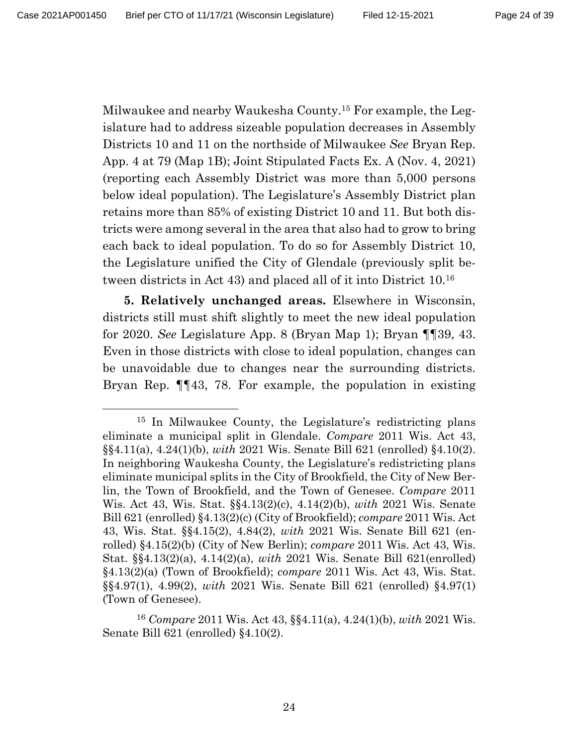Milwaukee and nearby Waukesha County.15 For example, the Legislature had to address sizeable population decreases in Assembly Districts 10 and 11 on the northside of Milwaukee *See* Bryan Rep. App. 4 at 79 (Map 1B); Joint Stipulated Facts Ex. A (Nov. 4, 2021) (reporting each Assembly District was more than 5,000 persons below ideal population). The Legislature's Assembly District plan retains more than 85% of existing District 10 and 11. But both districts were among several in the area that also had to grow to bring each back to ideal population. To do so for Assembly District 10, the Legislature unified the City of Glendale (previously split between districts in Act 43) and placed all of it into District 10.16

**5. Relatively unchanged areas.** Elsewhere in Wisconsin, districts still must shift slightly to meet the new ideal population for 2020. *See* Legislature App. 8 (Bryan Map 1); Bryan ¶¶39, 43. Even in those districts with close to ideal population, changes can be unavoidable due to changes near the surrounding districts. Bryan Rep. ¶¶43, 78. For example, the population in existing

<sup>15</sup> In Milwaukee County, the Legislature's redistricting plans eliminate a municipal split in Glendale. *Compare* 2011 Wis. Act 43, §§4.11(a), 4.24(1)(b), *with* 2021 Wis. Senate Bill 621 (enrolled) §4.10(2). In neighboring Waukesha County, the Legislature's redistricting plans eliminate municipal splits in the City of Brookfield, the City of New Berlin, the Town of Brookfield, and the Town of Genesee. *Compare* 2011 Wis. Act 43, Wis. Stat. §§4.13(2)(c), 4.14(2)(b), *with* 2021 Wis. Senate Bill 621 (enrolled) §4.13(2)(c) (City of Brookfield); *compare* 2011 Wis. Act 43, Wis. Stat. §§4.15(2), 4.84(2), *with* 2021 Wis. Senate Bill 621 (enrolled) §4.15(2)(b) (City of New Berlin); *compare* 2011 Wis. Act 43, Wis. Stat. §§4.13(2)(a), 4.14(2)(a), *with* 2021 Wis. Senate Bill 621(enrolled) §4.13(2)(a) (Town of Brookfield); *compare* 2011 Wis. Act 43, Wis. Stat. §§4.97(1), 4.99(2), *with* 2021 Wis. Senate Bill 621 (enrolled) §4.97(1) (Town of Genesee).

<sup>16</sup> *Compare* 2011 Wis. Act 43, §§4.11(a), 4.24(1)(b), *with* 2021 Wis. Senate Bill 621 (enrolled) §4.10(2).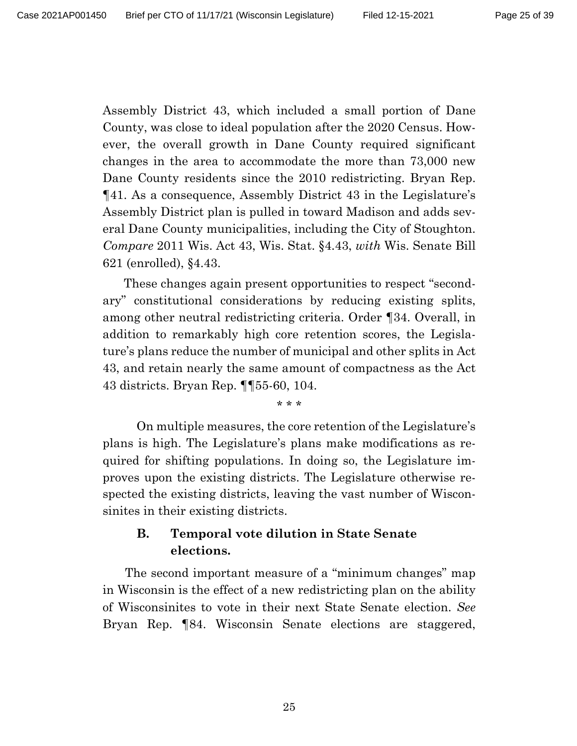Assembly District 43, which included a small portion of Dane County, was close to ideal population after the 2020 Census. However, the overall growth in Dane County required significant changes in the area to accommodate the more than 73,000 new Dane County residents since the 2010 redistricting. Bryan Rep. ¶41. As a consequence, Assembly District 43 in the Legislature's Assembly District plan is pulled in toward Madison and adds several Dane County municipalities, including the City of Stoughton. *Compare* 2011 Wis. Act 43, Wis. Stat. §4.43, *with* Wis. Senate Bill 621 (enrolled), §4.43.

These changes again present opportunities to respect "secondary" constitutional considerations by reducing existing splits, among other neutral redistricting criteria. Order ¶34. Overall, in addition to remarkably high core retention scores, the Legislature's plans reduce the number of municipal and other splits in Act 43, and retain nearly the same amount of compactness as the Act 43 districts. Bryan Rep. ¶¶55-60, 104.

\* \* \*

On multiple measures, the core retention of the Legislature's plans is high. The Legislature's plans make modifications as required for shifting populations. In doing so, the Legislature improves upon the existing districts. The Legislature otherwise respected the existing districts, leaving the vast number of Wisconsinites in their existing districts.

# **B. Temporal vote dilution in State Senate elections.**

The second important measure of a "minimum changes" map in Wisconsin is the effect of a new redistricting plan on the ability of Wisconsinites to vote in their next State Senate election. *See*  Bryan Rep. ¶84. Wisconsin Senate elections are staggered,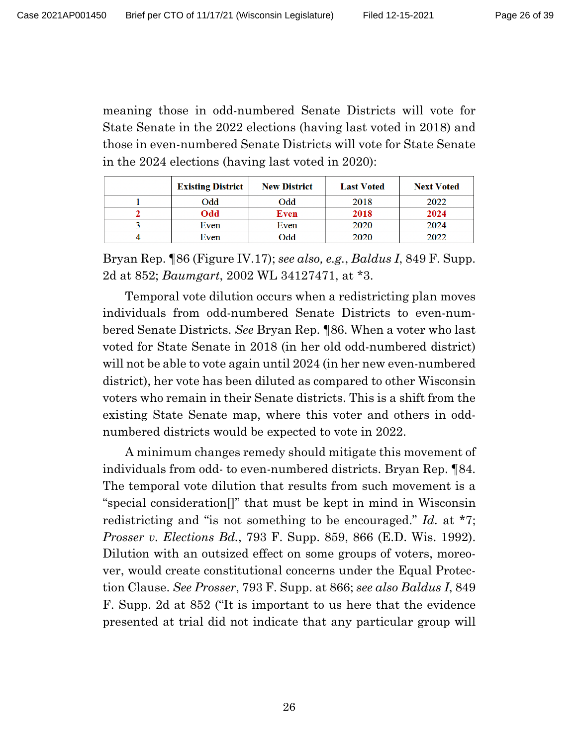meaning those in odd-numbered Senate Districts will vote for State Senate in the 2022 elections (having last voted in 2018) and those in even-numbered Senate Districts will vote for State Senate in the 2024 elections (having last voted in 2020):

| <b>Existing District</b> | <b>New District</b> | <b>Last Voted</b> | <b>Next Voted</b> |
|--------------------------|---------------------|-------------------|-------------------|
| Odd                      | Odd                 | 2018              | 2022              |
| Odd                      | Even                | 2018              | 2024              |
| Even                     | Even                | 2020              | 2024              |
| Even                     | bbC                 | 2020              | 2022              |

Bryan Rep. ¶86 (Figure IV.17); *see also, e.g.*, *Baldus I*, 849 F. Supp. 2d at 852; *Baumgart*, 2002 WL 34127471, at \*3.

Temporal vote dilution occurs when a redistricting plan moves individuals from odd-numbered Senate Districts to even-numbered Senate Districts. *See* Bryan Rep. ¶86. When a voter who last voted for State Senate in 2018 (in her old odd-numbered district) will not be able to vote again until 2024 (in her new even-numbered district), her vote has been diluted as compared to other Wisconsin voters who remain in their Senate districts. This is a shift from the existing State Senate map, where this voter and others in oddnumbered districts would be expected to vote in 2022.

A minimum changes remedy should mitigate this movement of individuals from odd- to even-numbered districts. Bryan Rep. ¶84. The temporal vote dilution that results from such movement is a "special consideration[]" that must be kept in mind in Wisconsin redistricting and "is not something to be encouraged." *Id.* at \*7; *Prosser v. Elections Bd.*, 793 F. Supp. 859, 866 (E.D. Wis. 1992). Dilution with an outsized effect on some groups of voters, moreover, would create constitutional concerns under the Equal Protection Clause. *See Prosser*, 793 F. Supp. at 866; *see also Baldus I*, 849 F. Supp. 2d at 852 ("It is important to us here that the evidence presented at trial did not indicate that any particular group will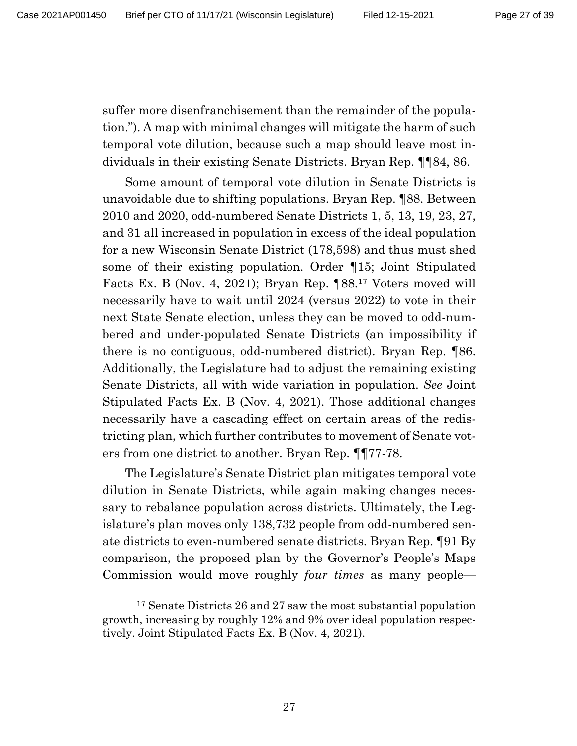suffer more disenfranchisement than the remainder of the population."). A map with minimal changes will mitigate the harm of such temporal vote dilution, because such a map should leave most individuals in their existing Senate Districts. Bryan Rep. ¶¶84, 86.

Some amount of temporal vote dilution in Senate Districts is unavoidable due to shifting populations. Bryan Rep. ¶88. Between 2010 and 2020, odd-numbered Senate Districts 1, 5, 13, 19, 23, 27, and 31 all increased in population in excess of the ideal population for a new Wisconsin Senate District (178,598) and thus must shed some of their existing population. Order ¶15; Joint Stipulated Facts Ex. B (Nov. 4, 2021); Bryan Rep. ¶88.17 Voters moved will necessarily have to wait until 2024 (versus 2022) to vote in their next State Senate election, unless they can be moved to odd-numbered and under-populated Senate Districts (an impossibility if there is no contiguous, odd-numbered district). Bryan Rep. ¶86. Additionally, the Legislature had to adjust the remaining existing Senate Districts, all with wide variation in population. *See* Joint Stipulated Facts Ex. B (Nov. 4, 2021). Those additional changes necessarily have a cascading effect on certain areas of the redistricting plan, which further contributes to movement of Senate voters from one district to another. Bryan Rep. ¶¶77-78.

The Legislature's Senate District plan mitigates temporal vote dilution in Senate Districts, while again making changes necessary to rebalance population across districts. Ultimately, the Legislature's plan moves only 138,732 people from odd-numbered senate districts to even-numbered senate districts. Bryan Rep. ¶91 By comparison, the proposed plan by the Governor's People's Maps Commission would move roughly *four times* as many people—

<sup>17</sup> Senate Districts 26 and 27 saw the most substantial population growth, increasing by roughly 12% and 9% over ideal population respectively. Joint Stipulated Facts Ex. B (Nov. 4, 2021).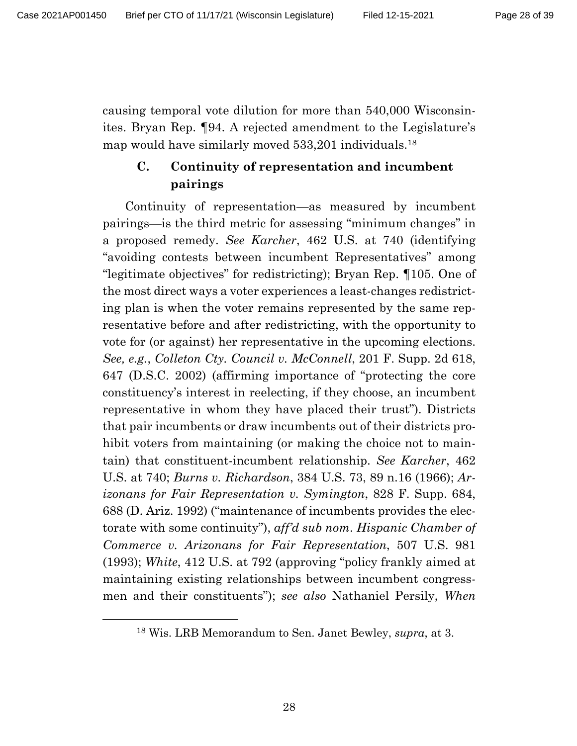causing temporal vote dilution for more than 540,000 Wisconsinites. Bryan Rep. ¶94. A rejected amendment to the Legislature's map would have similarly moved 533,201 individuals.18

## **C. Continuity of representation and incumbent pairings**

Continuity of representation—as measured by incumbent pairings—is the third metric for assessing "minimum changes" in a proposed remedy. *See Karcher*, 462 U.S. at 740 (identifying "avoiding contests between incumbent Representatives" among "legitimate objectives" for redistricting); Bryan Rep. ¶105. One of the most direct ways a voter experiences a least-changes redistricting plan is when the voter remains represented by the same representative before and after redistricting, with the opportunity to vote for (or against) her representative in the upcoming elections. *See, e.g.*, *Colleton Cty. Council v. McConnell*, 201 F. Supp. 2d 618, 647 (D.S.C. 2002) (affirming importance of "protecting the core constituency's interest in reelecting, if they choose, an incumbent representative in whom they have placed their trust"). Districts that pair incumbents or draw incumbents out of their districts prohibit voters from maintaining (or making the choice not to maintain) that constituent-incumbent relationship. *See Karcher*, 462 U.S. at 740; *Burns v. Richardson*, 384 U.S. 73, 89 n.16 (1966); *Arizonans for Fair Representation v. Symington*, 828 F. Supp. 684, 688 (D. Ariz. 1992) ("maintenance of incumbents provides the electorate with some continuity"), *aff'd sub nom*. *Hispanic Chamber of Commerce v. Arizonans for Fair Representation*, 507 U.S. 981 (1993); *White*, 412 U.S. at 792 (approving "policy frankly aimed at maintaining existing relationships between incumbent congressmen and their constituents"); *see also* Nathaniel Persily, *When* 

<sup>18</sup> Wis. LRB Memorandum to Sen. Janet Bewley, *supra*, at 3.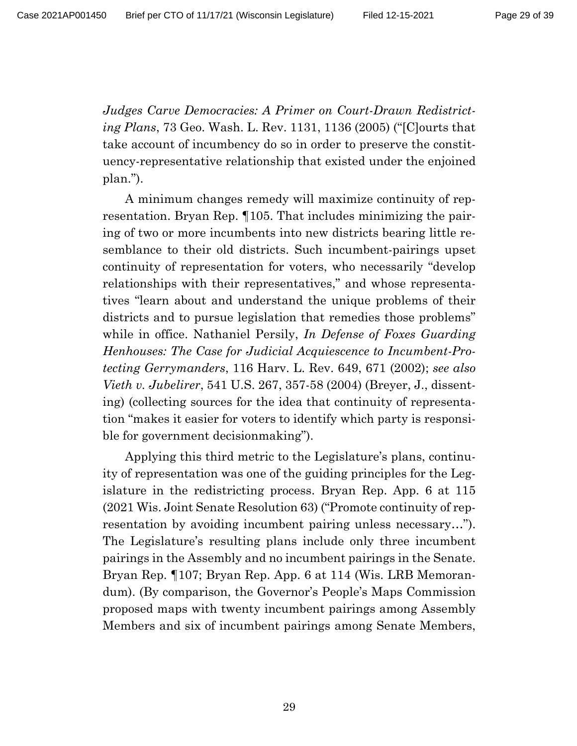*Judges Carve Democracies: A Primer on Court-Drawn Redistricting Plans*, 73 Geo. Wash. L. Rev. 1131, 1136 (2005) ("[C]ourts that take account of incumbency do so in order to preserve the constituency-representative relationship that existed under the enjoined plan.").

A minimum changes remedy will maximize continuity of representation. Bryan Rep. ¶105. That includes minimizing the pairing of two or more incumbents into new districts bearing little resemblance to their old districts. Such incumbent-pairings upset continuity of representation for voters, who necessarily "develop relationships with their representatives," and whose representatives "learn about and understand the unique problems of their districts and to pursue legislation that remedies those problems" while in office. Nathaniel Persily, *In Defense of Foxes Guarding Henhouses: The Case for Judicial Acquiescence to Incumbent-Protecting Gerrymanders*, 116 Harv. L. Rev. 649, 671 (2002); *see also Vieth v. Jubelirer*, 541 U.S. 267, 357-58 (2004) (Breyer, J., dissenting) (collecting sources for the idea that continuity of representation "makes it easier for voters to identify which party is responsible for government decisionmaking").

Applying this third metric to the Legislature's plans, continuity of representation was one of the guiding principles for the Legislature in the redistricting process. Bryan Rep. App. 6 at 115 (2021 Wis. Joint Senate Resolution 63) ("Promote continuity of representation by avoiding incumbent pairing unless necessary…"). The Legislature's resulting plans include only three incumbent pairings in the Assembly and no incumbent pairings in the Senate. Bryan Rep. ¶107; Bryan Rep. App. 6 at 114 (Wis. LRB Memorandum). (By comparison, the Governor's People's Maps Commission proposed maps with twenty incumbent pairings among Assembly Members and six of incumbent pairings among Senate Members,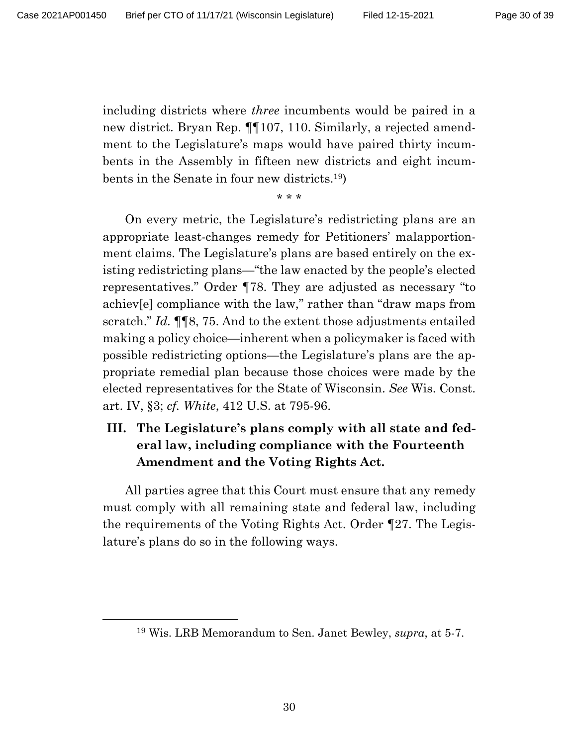including districts where *three* incumbents would be paired in a new district. Bryan Rep. ¶¶107, 110. Similarly, a rejected amendment to the Legislature's maps would have paired thirty incumbents in the Assembly in fifteen new districts and eight incumbents in the Senate in four new districts.19)

# \* \* \*

On every metric, the Legislature's redistricting plans are an appropriate least-changes remedy for Petitioners' malapportionment claims. The Legislature's plans are based entirely on the existing redistricting plans—"the law enacted by the people's elected representatives." Order ¶78. They are adjusted as necessary "to achiev[e] compliance with the law," rather than "draw maps from scratch." *Id.* ¶¶8, 75. And to the extent those adjustments entailed making a policy choice—inherent when a policymaker is faced with possible redistricting options—the Legislature's plans are the appropriate remedial plan because those choices were made by the elected representatives for the State of Wisconsin. *See* Wis. Const. art. IV, §3; *cf. White*, 412 U.S. at 795-96.

## **III. The Legislature's plans comply with all state and federal law, including compliance with the Fourteenth Amendment and the Voting Rights Act.**

All parties agree that this Court must ensure that any remedy must comply with all remaining state and federal law, including the requirements of the Voting Rights Act. Order ¶27. The Legislature's plans do so in the following ways.

<sup>19</sup> Wis. LRB Memorandum to Sen. Janet Bewley, *supra*, at 5-7.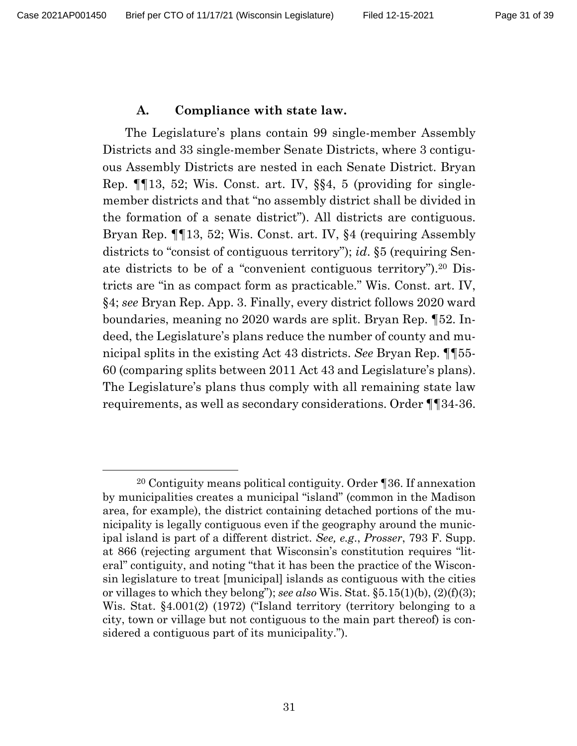#### **A. Compliance with state law.**

The Legislature's plans contain 99 single-member Assembly Districts and 33 single-member Senate Districts, where 3 contiguous Assembly Districts are nested in each Senate District. Bryan Rep. ¶¶13, 52; Wis. Const. art. IV, §§4, 5 (providing for singlemember districts and that "no assembly district shall be divided in the formation of a senate district"). All districts are contiguous. Bryan Rep. ¶¶13, 52; Wis. Const. art. IV, §4 (requiring Assembly districts to "consist of contiguous territory"); *id*. §5 (requiring Senate districts to be of a "convenient contiguous territory").20 Districts are "in as compact form as practicable." Wis. Const. art. IV, §4; *see* Bryan Rep. App. 3. Finally, every district follows 2020 ward boundaries, meaning no 2020 wards are split. Bryan Rep. ¶52. Indeed, the Legislature's plans reduce the number of county and municipal splits in the existing Act 43 districts. *See* Bryan Rep. ¶¶55- 60 (comparing splits between 2011 Act 43 and Legislature's plans). The Legislature's plans thus comply with all remaining state law requirements, as well as secondary considerations. Order ¶¶34-36.

<sup>20</sup> Contiguity means political contiguity. Order ¶36. If annexation by municipalities creates a municipal "island" (common in the Madison area, for example), the district containing detached portions of the municipality is legally contiguous even if the geography around the municipal island is part of a different district. *See, e.g*., *Prosser*, 793 F. Supp. at 866 (rejecting argument that Wisconsin's constitution requires "literal" contiguity, and noting "that it has been the practice of the Wisconsin legislature to treat [municipal] islands as contiguous with the cities or villages to which they belong"); *see also* Wis. Stat. §5.15(1)(b), (2)(f)(3); Wis. Stat. §4.001(2) (1972) ("Island territory (territory belonging to a city, town or village but not contiguous to the main part thereof) is considered a contiguous part of its municipality.").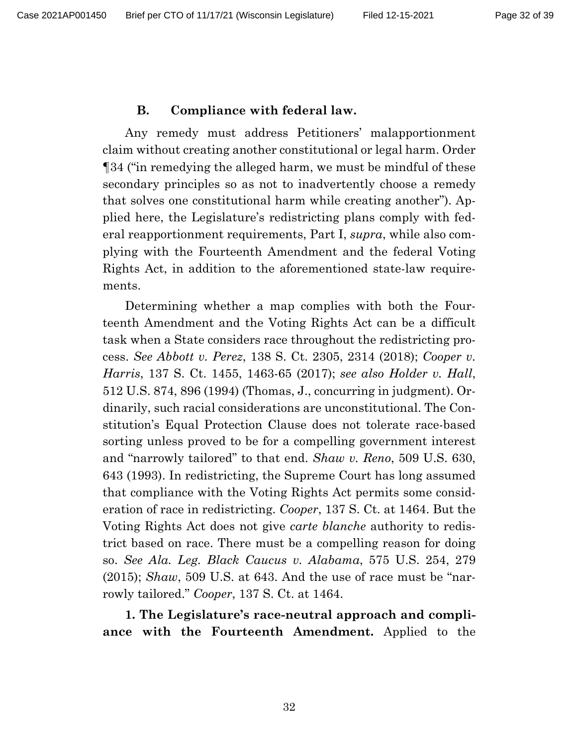#### **B. Compliance with federal law.**

Any remedy must address Petitioners' malapportionment claim without creating another constitutional or legal harm. Order ¶34 ("in remedying the alleged harm, we must be mindful of these secondary principles so as not to inadvertently choose a remedy that solves one constitutional harm while creating another"). Applied here, the Legislature's redistricting plans comply with federal reapportionment requirements, Part I, *supra*, while also complying with the Fourteenth Amendment and the federal Voting Rights Act, in addition to the aforementioned state-law requirements.

Determining whether a map complies with both the Fourteenth Amendment and the Voting Rights Act can be a difficult task when a State considers race throughout the redistricting process. *See Abbott v. Perez*, 138 S. Ct. 2305, 2314 (2018); *Cooper v. Harris*, 137 S. Ct. 1455, 1463-65 (2017); *see also Holder v. Hall*, 512 U.S. 874, 896 (1994) (Thomas, J., concurring in judgment). Ordinarily, such racial considerations are unconstitutional. The Constitution's Equal Protection Clause does not tolerate race-based sorting unless proved to be for a compelling government interest and "narrowly tailored" to that end. *Shaw v. Reno*, 509 U.S. 630, 643 (1993). In redistricting, the Supreme Court has long assumed that compliance with the Voting Rights Act permits some consideration of race in redistricting. *Cooper*, 137 S. Ct. at 1464. But the Voting Rights Act does not give *carte blanche* authority to redistrict based on race. There must be a compelling reason for doing so. *See Ala. Leg. Black Caucus v. Alabama*, 575 U.S. 254, 279 (2015); *Shaw*, 509 U.S. at 643. And the use of race must be "narrowly tailored." *Cooper*, 137 S. Ct. at 1464.

**1. The Legislature's race-neutral approach and compliance with the Fourteenth Amendment.** Applied to the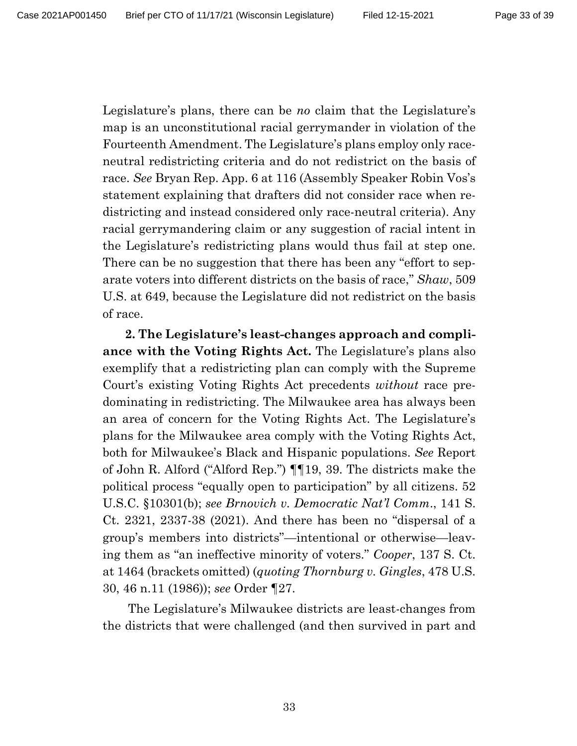Legislature's plans, there can be *no* claim that the Legislature's map is an unconstitutional racial gerrymander in violation of the Fourteenth Amendment. The Legislature's plans employ only raceneutral redistricting criteria and do not redistrict on the basis of race. *See* Bryan Rep. App. 6 at 116 (Assembly Speaker Robin Vos's statement explaining that drafters did not consider race when redistricting and instead considered only race-neutral criteria). Any racial gerrymandering claim or any suggestion of racial intent in the Legislature's redistricting plans would thus fail at step one. There can be no suggestion that there has been any "effort to separate voters into different districts on the basis of race," *Shaw*, 509 U.S. at 649, because the Legislature did not redistrict on the basis of race.

**2. The Legislature's least-changes approach and compliance with the Voting Rights Act.** The Legislature's plans also exemplify that a redistricting plan can comply with the Supreme Court's existing Voting Rights Act precedents *without* race predominating in redistricting. The Milwaukee area has always been an area of concern for the Voting Rights Act. The Legislature's plans for the Milwaukee area comply with the Voting Rights Act, both for Milwaukee's Black and Hispanic populations. *See* Report of John R. Alford ("Alford Rep.") ¶¶19, 39. The districts make the political process "equally open to participation" by all citizens. 52 U.S.C. §10301(b); *see Brnovich v. Democratic Nat'l Comm*., 141 S. Ct. 2321, 2337-38 (2021). And there has been no "dispersal of a group's members into districts"—intentional or otherwise—leaving them as "an ineffective minority of voters." *Cooper*, 137 S. Ct. at 1464 (brackets omitted) (*quoting Thornburg v. Gingles*, 478 U.S. 30, 46 n.11 (1986)); *see* Order ¶27.

The Legislature's Milwaukee districts are least-changes from the districts that were challenged (and then survived in part and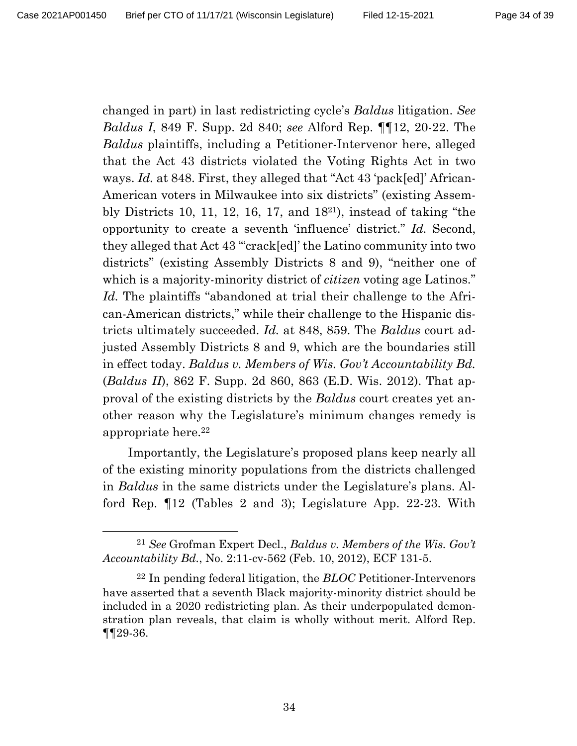changed in part) in last redistricting cycle's *Baldus* litigation. *See Baldus I*, 849 F. Supp. 2d 840; *see* Alford Rep. ¶¶12, 20-22. The *Baldus* plaintiffs, including a Petitioner-Intervenor here, alleged that the Act 43 districts violated the Voting Rights Act in two ways. *Id.* at 848. First, they alleged that "Act 43 'pack[ed]' African-American voters in Milwaukee into six districts" (existing Assembly Districts 10, 11, 12, 16, 17, and 1821), instead of taking "the opportunity to create a seventh 'influence' district." *Id.* Second, they alleged that Act 43 "'crack[ed]' the Latino community into two districts" (existing Assembly Districts 8 and 9), "neither one of which is a majority-minority district of *citizen* voting age Latinos." *Id.* The plaintiffs "abandoned at trial their challenge to the African-American districts," while their challenge to the Hispanic districts ultimately succeeded. *Id.* at 848, 859. The *Baldus* court adjusted Assembly Districts 8 and 9, which are the boundaries still in effect today. *Baldus v. Members of Wis. Gov't Accountability Bd.* (*Baldus II*), 862 F. Supp. 2d 860, 863 (E.D. Wis. 2012). That approval of the existing districts by the *Baldus* court creates yet another reason why the Legislature's minimum changes remedy is appropriate here. 22

Importantly, the Legislature's proposed plans keep nearly all of the existing minority populations from the districts challenged in *Baldus* in the same districts under the Legislature's plans. Alford Rep. ¶12 (Tables 2 and 3); Legislature App. 22-23. With

<sup>21</sup> *See* Grofman Expert Decl., *Baldus v. Members of the Wis. Gov't Accountability Bd.*, No. 2:11-cv-562 (Feb. 10, 2012), ECF 131-5.

<sup>22</sup> In pending federal litigation, the *BLOC* Petitioner-Intervenors have asserted that a seventh Black majority-minority district should be included in a 2020 redistricting plan. As their underpopulated demonstration plan reveals, that claim is wholly without merit. Alford Rep. ¶¶29-36.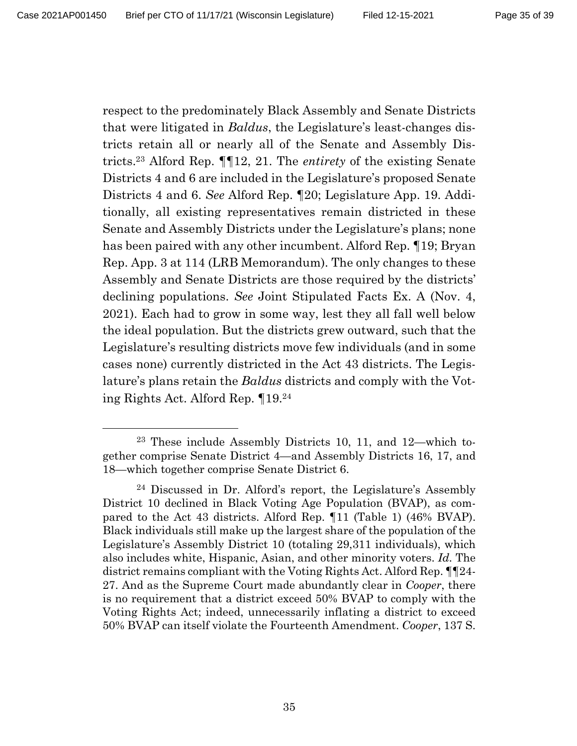respect to the predominately Black Assembly and Senate Districts that were litigated in *Baldus*, the Legislature's least-changes districts retain all or nearly all of the Senate and Assembly Districts. <sup>23</sup> Alford Rep. ¶¶12, 21. The *entirety* of the existing Senate Districts 4 and 6 are included in the Legislature's proposed Senate Districts 4 and 6. *See* Alford Rep. ¶20; Legislature App. 19. Additionally, all existing representatives remain districted in these Senate and Assembly Districts under the Legislature's plans; none has been paired with any other incumbent. Alford Rep. ¶19; Bryan Rep. App. 3 at 114 (LRB Memorandum). The only changes to these Assembly and Senate Districts are those required by the districts' declining populations. *See* Joint Stipulated Facts Ex. A (Nov. 4, 2021). Each had to grow in some way, lest they all fall well below the ideal population. But the districts grew outward, such that the Legislature's resulting districts move few individuals (and in some cases none) currently districted in the Act 43 districts. The Legislature's plans retain the *Baldus* districts and comply with the Voting Rights Act. Alford Rep. ¶19. 24

<sup>23</sup> These include Assembly Districts 10, 11, and 12—which together comprise Senate District 4—and Assembly Districts 16, 17, and 18—which together comprise Senate District 6.

<sup>24</sup> Discussed in Dr. Alford's report, the Legislature's Assembly District 10 declined in Black Voting Age Population (BVAP), as compared to the Act 43 districts. Alford Rep. ¶11 (Table 1) (46% BVAP). Black individuals still make up the largest share of the population of the Legislature's Assembly District 10 (totaling 29,311 individuals), which also includes white, Hispanic, Asian, and other minority voters. *Id.* The district remains compliant with the Voting Rights Act. Alford Rep. ¶¶24- 27. And as the Supreme Court made abundantly clear in *Cooper*, there is no requirement that a district exceed 50% BVAP to comply with the Voting Rights Act; indeed, unnecessarily inflating a district to exceed 50% BVAP can itself violate the Fourteenth Amendment. *Cooper*, 137 S.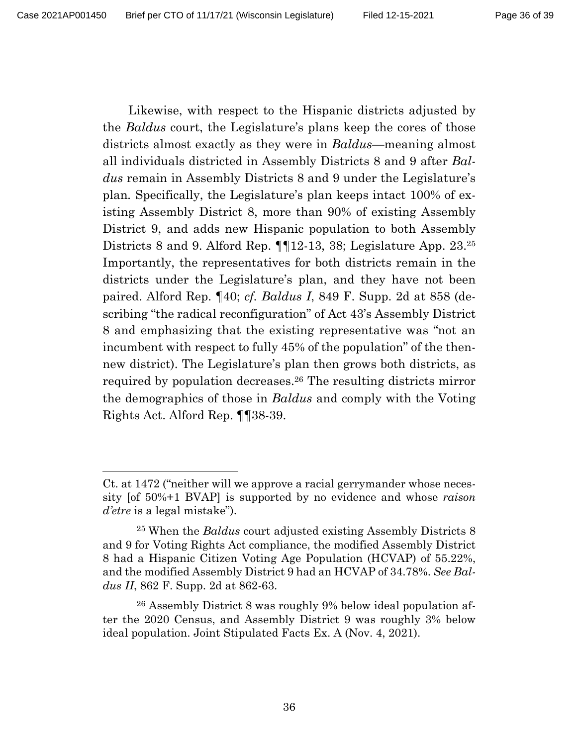Likewise, with respect to the Hispanic districts adjusted by the *Baldus* court, the Legislature's plans keep the cores of those districts almost exactly as they were in *Baldus*—meaning almost all individuals districted in Assembly Districts 8 and 9 after *Baldus* remain in Assembly Districts 8 and 9 under the Legislature's plan*.* Specifically, the Legislature's plan keeps intact 100% of existing Assembly District 8, more than 90% of existing Assembly District 9, and adds new Hispanic population to both Assembly Districts 8 and 9. Alford Rep. **[12-13, 38; Legislature App. 23.**<sup>25</sup> Importantly, the representatives for both districts remain in the districts under the Legislature's plan, and they have not been paired. Alford Rep. ¶40; *cf. Baldus I*, 849 F. Supp. 2d at 858 (describing "the radical reconfiguration" of Act 43's Assembly District 8 and emphasizing that the existing representative was "not an incumbent with respect to fully 45% of the population" of the thennew district). The Legislature's plan then grows both districts, as required by population decreases. <sup>26</sup> The resulting districts mirror the demographics of those in *Baldus* and comply with the Voting Rights Act. Alford Rep. ¶¶38-39.

Ct. at 1472 ("neither will we approve a racial gerrymander whose necessity [of 50%+1 BVAP] is supported by no evidence and whose *raison d'etre* is a legal mistake").

<sup>25</sup> When the *Baldus* court adjusted existing Assembly Districts 8 and 9 for Voting Rights Act compliance, the modified Assembly District 8 had a Hispanic Citizen Voting Age Population (HCVAP) of 55.22%, and the modified Assembly District 9 had an HCVAP of 34.78%. *See Baldus II*, 862 F. Supp. 2d at 862-63.

<sup>26</sup> Assembly District 8 was roughly 9% below ideal population after the 2020 Census, and Assembly District 9 was roughly 3% below ideal population. Joint Stipulated Facts Ex. A (Nov. 4, 2021).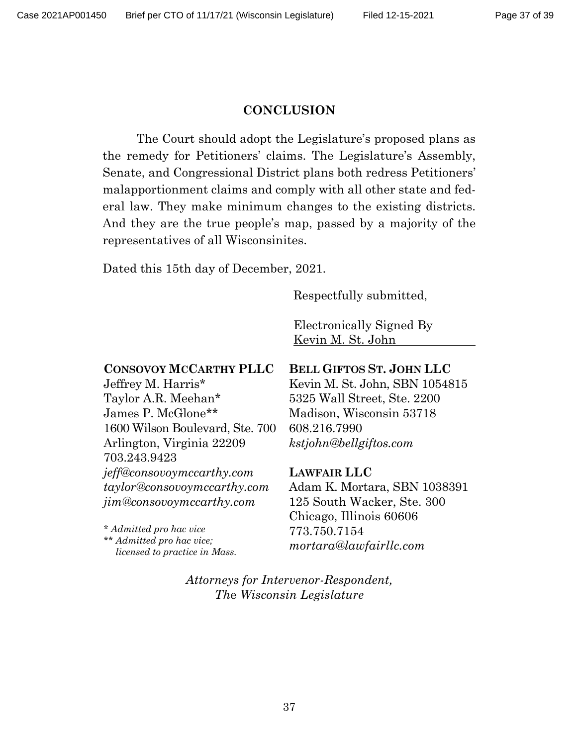#### **CONCLUSION**

The Court should adopt the Legislature's proposed plans as the remedy for Petitioners' claims. The Legislature's Assembly, Senate, and Congressional District plans both redress Petitioners' malapportionment claims and comply with all other state and federal law. They make minimum changes to the existing districts. And they are the true people's map, passed by a majority of the representatives of all Wisconsinites.

Dated this 15th day of December, 2021.

Respectfully submitted,

Electronically Signed By Kevin M. St. John

## **CONSOVOY MCCARTHY PLLC**

Jeffrey M. Harris\* Taylor A.R. Meehan\* James P. McGlone\*\* 1600 Wilson Boulevard, Ste. 700 Arlington, Virginia 22209 703.243.9423 *jeff@consovoymccarthy.com taylor@consovoymccarthy.com jim@consovoymccarthy.com*

*\* Admitted pro hac vice \*\* Admitted pro hac vice; licensed to practice in Mass.*

### **BELL GIFTOS ST. JOHN LLC**

Kevin M. St. John, SBN 1054815 5325 Wall Street, Ste. 2200 Madison, Wisconsin 53718 608.216.7990 *kstjohn@bellgiftos.com*

#### **LAWFAIR LLC**

Adam K. Mortara, SBN 1038391 125 South Wacker, Ste. 300 Chicago, Illinois 60606 773.750.7154 *mortara@lawfairllc.com*

*Attorneys for Intervenor-Respondent, Th*e *Wisconsin Legislature*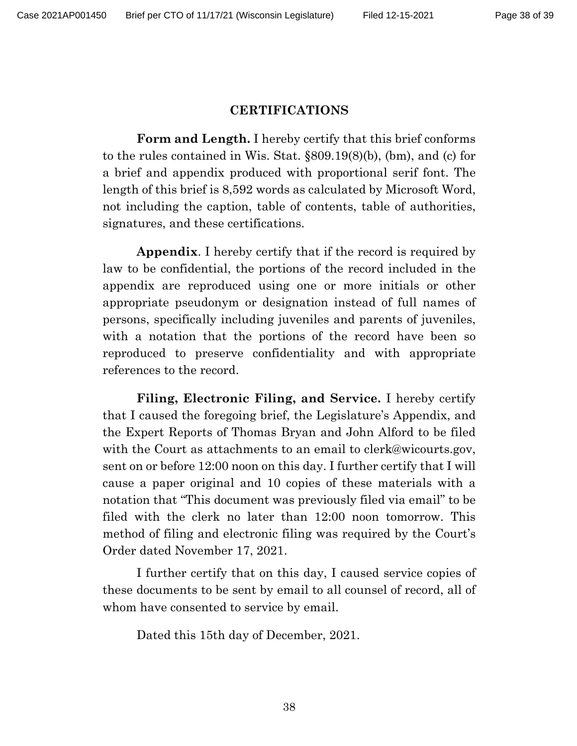#### **CERTIFICATIONS**

**Form and Length.** I hereby certify that this brief conforms to the rules contained in Wis. Stat. §809.19(8)(b), (bm), and (c) for a brief and appendix produced with proportional serif font. The length of this brief is 8,592 words as calculated by Microsoft Word, not including the caption, table of contents, table of authorities, signatures, and these certifications.

**Appendix**. I hereby certify that if the record is required by law to be confidential, the portions of the record included in the appendix are reproduced using one or more initials or other appropriate pseudonym or designation instead of full names of persons, specifically including juveniles and parents of juveniles, with a notation that the portions of the record have been so reproduced to preserve confidentiality and with appropriate references to the record.

**Filing, Electronic Filing, and Service.** I hereby certify that I caused the foregoing brief, the Legislature's Appendix, and the Expert Reports of Thomas Bryan and John Alford to be filed with the Court as attachments to an email to clerk@wicourts.gov, sent on or before 12:00 noon on this day. I further certify that I will cause a paper original and 10 copies of these materials with a notation that "This document was previously filed via email" to be filed with the clerk no later than 12:00 noon tomorrow. This method of filing and electronic filing was required by the Court's Order dated November 17, 2021.

I further certify that on this day, I caused service copies of these documents to be sent by email to all counsel of record, all of whom have consented to service by email.

Dated this 15th day of December, 2021.